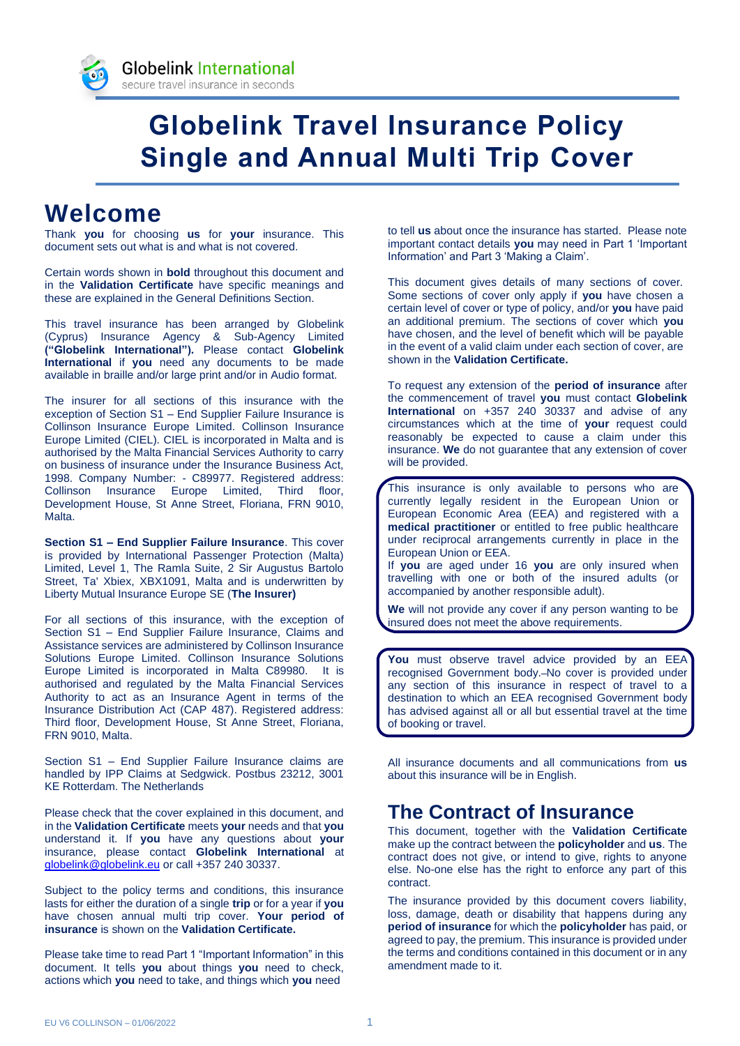

# **Globelink Travel Insurance Policy Single and Annual Multi Trip Cover**

# **Welcome**

Thank **you** for choosing **us** for **your** insurance. This document sets out what is and what is not covered.

Certain words shown in **bold** throughout this document and in the **Validation Certificate** have specific meanings and these are explained in the General Definitions Section.

This travel insurance has been arranged by Globelink (Cyprus) Insurance Agency & Sub-Agency Limited **("Globelink International").** Please contact **Globelink International** if **you** need any documents to be made available in braille and/or large print and/or in Audio format.

The insurer for all sections of this insurance with the exception of Section S1 – End Supplier Failure Insurance is Collinson Insurance Europe Limited. Collinson Insurance Europe Limited (CIEL). CIEL is incorporated in Malta and is authorised by the Malta Financial Services Authority to carry on business of insurance under the Insurance Business Act, 1998. Company Number: - C89977. Registered address: Collinson Insurance Europe Limited, Third floor, Development House, St Anne Street, Floriana, FRN 9010, Malta.

**Section S1 – End Supplier Failure Insurance**. This cover is provided by International Passenger Protection (Malta) Limited, Level 1, The Ramla Suite, 2 Sir Augustus Bartolo Street, Ta' Xbiex, XBX1091, Malta and is underwritten by Liberty Mutual Insurance Europe SE (**The Insurer)**

For all sections of this insurance, with the exception of Section S1 – End Supplier Failure Insurance, Claims and Assistance services are administered by Collinson Insurance Solutions Europe Limited. Collinson Insurance Solutions Europe Limited is incorporated in Malta C89980. It is authorised and regulated by the Malta Financial Services Authority to act as an Insurance Agent in terms of the Insurance Distribution Act (CAP 487). Registered address: Third floor, Development House, St Anne Street, Floriana, FRN 9010, Malta.

Section S1 – End Supplier Failure Insurance claims are handled by IPP Claims at Sedgwick. Postbus 23212, 3001 KE Rotterdam. The Netherlands

Please check that the cover explained in this document, and in the **Validation Certificate** meets **your** needs and that **you** understand it. If **you** have any questions about **your** insurance, please contact **Globelink International** at [globelink@globelink.eu](mailto:globelink@globelink.eu) or call +357 240 30337.

Subject to the policy terms and conditions, this insurance lasts for either the duration of a single **trip** or for a year if **you** have chosen annual multi trip cover. **Your period of insurance** is shown on the **Validation Certificate.**

Please take time to read Part 1 "Important Information" in this document. It tells **you** about things **you** need to check, actions which **you** need to take, and things which **you** need

to tell **us** about once the insurance has started. Please note important contact details **you** may need in Part 1 'Important Information' and Part 3 'Making a Claim'.

This document gives details of many sections of cover. Some sections of cover only apply if **you** have chosen a certain level of cover or type of policy, and/or **you** have paid an additional premium. The sections of cover which **you** have chosen, and the level of benefit which will be payable in the event of a valid claim under each section of cover, are shown in the **Validation Certificate.**

To request any extension of the **period of insurance** after the commencement of travel **you** must contact **Globelink International** on +357 240 30337 and advise of any circumstances which at the time of **your** request could reasonably be expected to cause a claim under this insurance. **We** do not guarantee that any extension of cover will be provided.

This insurance is only available to persons who are currently legally resident in the European Union or European Economic Area (EEA) and registered with a **medical practitioner** or entitled to free public healthcare under reciprocal arrangements currently in place in the European Union or EEA.

If **you** are aged under 16 **you** are only insured when travelling with one or both of the insured adults (or accompanied by another responsible adult).

**We** will not provide any cover if any person wanting to be insured does not meet the above requirements.

**You** must observe travel advice provided by an EEA recognised Government body. No cover is provided under any section of this insurance in respect of travel to a destination to which an EEA recognised Government body has advised against all or all but essential travel at the time of booking or travel.

All insurance documents and all communications from **us** about this insurance will be in English.

# **The Contract of Insurance**

This document, together with the **Validation Certificate**  make up the contract between the **policyholder** and **us**. The contract does not give, or intend to give, rights to anyone else. No-one else has the right to enforce any part of this contract.

The insurance provided by this document covers liability, loss, damage, death or disability that happens during any **period of insurance** for which the **policyholder** has paid, or agreed to pay, the premium. This insurance is provided under the terms and conditions contained in this document or in any amendment made to it.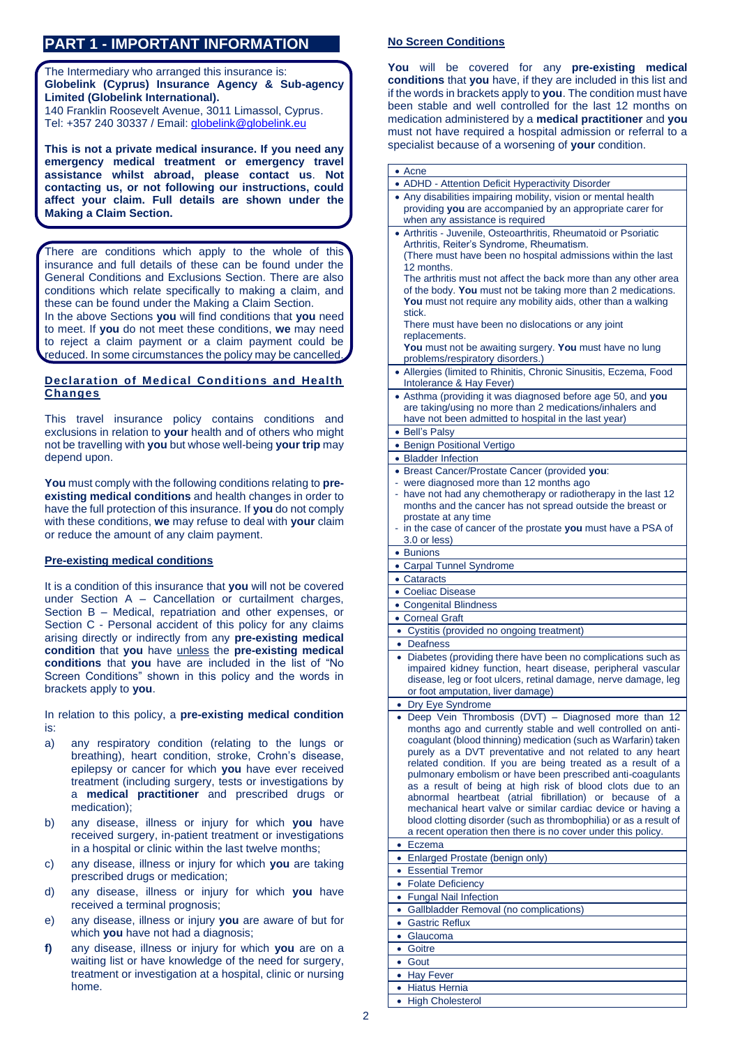# **PART 1 - IMPORTANT INFORMATION**

The Intermediary who arranged this insurance is: **Globelink (Cyprus) Insurance Agency & Sub-agency Limited (Globelink International).** 140 Franklin Roosevelt Avenue, 3011 Limassol, Cyprus. Tel: +357 240 30337 / Email: *globelink@globelink.eu* 

**This is not a private medical insurance. If you need any emergency medical treatment or emergency travel assistance whilst abroad, please contact us**. **Not contacting us, or not following our instructions, could affect your claim. Full details are shown under the Making a Claim Section.**

There are conditions which apply to the whole of this insurance and full details of these can be found under the General Conditions and Exclusions Section. There are also conditions which relate specifically to making a claim, and these can be found under the Making a Claim Section.

In the above Sections **you** will find conditions that **you** need to meet. If **you** do not meet these conditions, **we** may need to reject a claim payment or a claim payment could be reduced. In some circumstances the policy may be cancelled.

# **Declaration of Medical Conditions and Health Changes**

This travel insurance policy contains conditions and exclusions in relation to **your** health and of others who might not be travelling with **you** but whose well-being **your trip** may depend upon.

**You** must comply with the following conditions relating to **preexisting medical conditions** and health changes in order to have the full protection of this insurance. If **you** do not comply with these conditions, **we** may refuse to deal with **your** claim or reduce the amount of any claim payment.

# **Pre-existing medical conditions**

It is a condition of this insurance that **you** will not be covered under Section A – Cancellation or curtailment charges, Section B – Medical, repatriation and other expenses, or Section C - Personal accident of this policy for any claims arising directly or indirectly from any **pre-existing medical condition** that **you** have unless the **pre-existing medical conditions** that **you** have are included in the list of "No Screen Conditions" shown in this policy and the words in brackets apply to **you**.

In relation to this policy, a **pre-existing medical condition** is:

- a) any respiratory condition (relating to the lungs or breathing), heart condition, stroke, Crohn's disease, epilepsy or cancer for which **you** have ever received treatment (including surgery, tests or investigations by a **medical practitioner** and prescribed drugs or medication);
- b) any disease, illness or injury for which **you** have received surgery, in-patient treatment or investigations in a hospital or clinic within the last twelve months;
- c) any disease, illness or injury for which **you** are taking prescribed drugs or medication;
- d) any disease, illness or injury for which **you** have received a terminal prognosis;
- e) any disease, illness or injury **you** are aware of but for which **you** have not had a diagnosis;
- **f)** any disease, illness or injury for which **you** are on a waiting list or have knowledge of the need for surgery, treatment or investigation at a hospital, clinic or nursing home.

# **No Screen Conditions**

**You** will be covered for any **pre-existing medical conditions** that **you** have, if they are included in this list and if the words in brackets apply to **you**. The condition must have been stable and well controlled for the last 12 months on medication administered by a **medical practitioner** and **you**  must not have required a hospital admission or referral to a specialist because of a worsening of **your** condition.

| • ADHD - Attention Deficit Hyperactivity Disorder                                                                                 |
|-----------------------------------------------------------------------------------------------------------------------------------|
| • Any disabilities impairing mobility, vision or mental health                                                                    |
| providing you are accompanied by an appropriate carer for                                                                         |
| when any assistance is required                                                                                                   |
| • Arthritis - Juvenile, Osteoarthritis, Rheumatoid or Psoriatic                                                                   |
| Arthritis, Reiter's Syndrome, Rheumatism.<br>(There must have been no hospital admissions within the last                         |
| 12 months.                                                                                                                        |
| The arthritis must not affect the back more than any other area                                                                   |
| of the body. You must not be taking more than 2 medications.                                                                      |
| You must not require any mobility aids, other than a walking                                                                      |
| stick.                                                                                                                            |
| There must have been no dislocations or any joint                                                                                 |
| replacements.                                                                                                                     |
| You must not be awaiting surgery. You must have no lung                                                                           |
| problems/respiratory disorders.)<br>• Allergies (limited to Rhinitis, Chronic Sinusitis, Eczema, Food                             |
|                                                                                                                                   |
| Intolerance & Hay Fever)<br>• Asthma (providing it was diagnosed before age 50, and you                                           |
| are taking/using no more than 2 medications/inhalers and                                                                          |
| have not been admitted to hospital in the last year)                                                                              |
| • Bell's Palsy                                                                                                                    |
| • Benign Positional Vertigo                                                                                                       |
| • Bladder Infection                                                                                                               |
| • Breast Cancer/Prostate Cancer (provided you:                                                                                    |
| - were diagnosed more than 12 months ago                                                                                          |
| - have not had any chemotherapy or radiotherapy in the last 12                                                                    |
| months and the cancer has not spread outside the breast or                                                                        |
| prostate at any time                                                                                                              |
| - in the case of cancer of the prostate you must have a PSA of                                                                    |
| 3.0 or less)                                                                                                                      |
| • Bunions                                                                                                                         |
| • Carpal Tunnel Syndrome                                                                                                          |
| • Cataracts                                                                                                                       |
| • Coeliac Disease                                                                                                                 |
| • Congenital Blindness                                                                                                            |
| • Corneal Graft                                                                                                                   |
|                                                                                                                                   |
| • Cystitis (provided no ongoing treatment)                                                                                        |
| • Deafness                                                                                                                        |
| • Diabetes (providing there have been no complications such as                                                                    |
| impaired kidney function, heart disease, peripheral vascular                                                                      |
| disease, leg or foot ulcers, retinal damage, nerve damage, leg                                                                    |
| or foot amputation, liver damage)                                                                                                 |
| • Dry Eye Syndrome                                                                                                                |
| · Deep Vein Thrombosis (DVT) - Diagnosed more than 12                                                                             |
| months ago and currently stable and well controlled on anti-<br>coagulant (blood thinning) medication (such as Warfarin) taken    |
| purely as a DVT preventative and not related to any heart                                                                         |
| related condition. If you are being treated as a result of a                                                                      |
| pulmonary embolism or have been prescribed anti-coagulants                                                                        |
| as a result of being at high risk of blood clots due to an                                                                        |
| abnormal heartbeat (atrial fibrillation) or because of a                                                                          |
| mechanical heart valve or similar cardiac device or having a                                                                      |
| blood clotting disorder (such as thrombophilia) or as a result of<br>a recent operation then there is no cover under this policy. |
| Eczema<br>$\bullet$                                                                                                               |
| • Enlarged Prostate (benign only)                                                                                                 |
| <b>Essential Tremor</b><br>$\bullet$                                                                                              |
| <b>Folate Deficiency</b><br>$\bullet$                                                                                             |
| <b>Fungal Nail Infection</b><br>$\bullet$                                                                                         |
| Gallbladder Removal (no complications)<br>٠                                                                                       |
| <b>Gastric Reflux</b><br>$\bullet$                                                                                                |
| Glaucoma<br>٠                                                                                                                     |
| Goitre<br>$\bullet$                                                                                                               |
| Gout<br>$\bullet$                                                                                                                 |
| $\bullet$                                                                                                                         |
| <b>Hay Fever</b><br>• Hiatus Hernia                                                                                               |
| <b>High Cholesterol</b>                                                                                                           |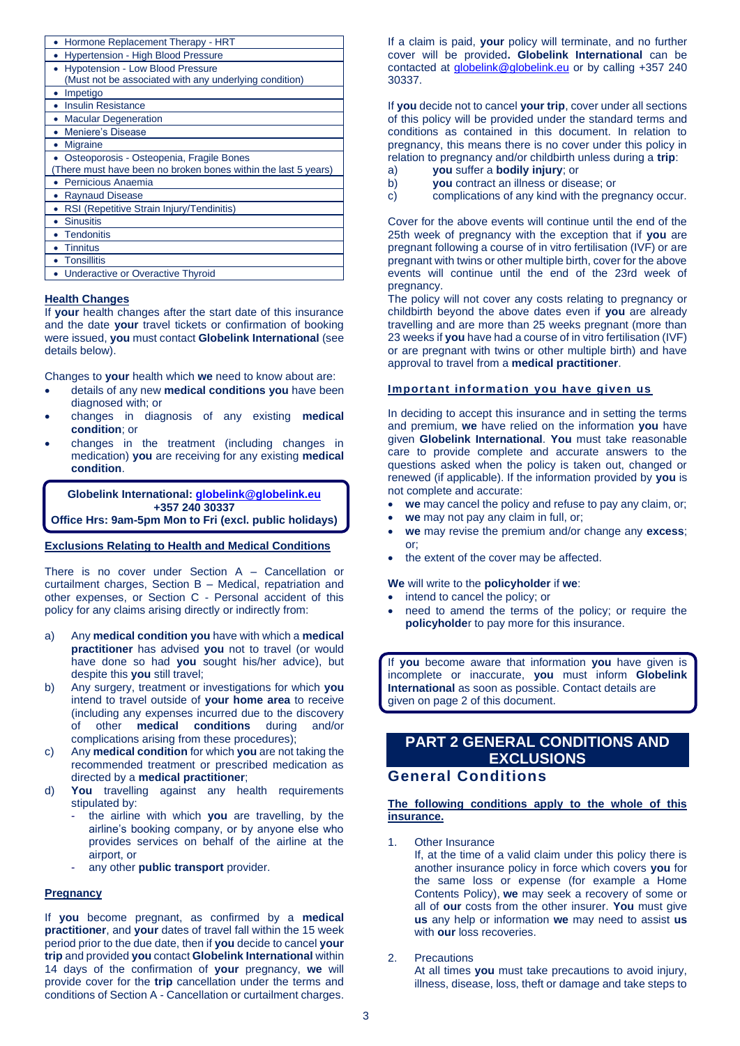| Hormone Replacement Therapy - HRT                             |
|---------------------------------------------------------------|
| Hypertension - High Blood Pressure                            |
| <b>Hypotension - Low Blood Pressure</b>                       |
| (Must not be associated with any underlying condition)        |
| Impetigo                                                      |
| <b>Insulin Resistance</b>                                     |
| <b>Macular Degeneration</b>                                   |
| Meniere's Disease                                             |
| <b>Migraine</b>                                               |
| Osteoporosis - Osteopenia, Fragile Bones                      |
| There must have been no broken bones within the last 5 years) |
| Pernicious Anaemia                                            |
| <b>Raynaud Disease</b>                                        |
| RSI (Repetitive Strain Injury/Tendinitis)                     |
| <b>Sinusitis</b>                                              |
| <b>Tendonitis</b>                                             |
| <b>Tinnitus</b>                                               |
| <b>Tonsillitis</b>                                            |
| Underactive or Overactive Thyroid                             |
|                                                               |

### **Health Changes**

If **your** health changes after the start date of this insurance and the date **your** travel tickets or confirmation of booking were issued, **you** must contact **Globelink International** (see details below).

Changes to **your** health which **we** need to know about are:

- details of any new **medical conditions you** have been diagnosed with; or
- changes in diagnosis of any existing **medical condition**; or
- changes in the treatment (including changes in medication) **you** are receiving for any existing **medical condition**.

**Globelink International[: globelink@globelink.eu](mailto:globelink@globelink.eu) +357 240 30337**

**Office Hrs: 9am-5pm Mon to Fri (excl. public holidays)**

# **Exclusions Relating to Health and Medical Conditions**

There is no cover under Section A – Cancellation or curtailment charges, Section B – Medical, repatriation and other expenses, or Section C - Personal accident of this policy for any claims arising directly or indirectly from:

- a) Any **medical condition you** have with which a **medical practitioner** has advised **you** not to travel (or would have done so had **you** sought his/her advice), but despite this **you** still travel;
- b) Any surgery, treatment or investigations for which **you**  intend to travel outside of **your home area** to receive (including any expenses incurred due to the discovery of other **medical conditions** during and/or complications arising from these procedures);
- c) Any **medical condition** for which **you** are not taking the recommended treatment or prescribed medication as directed by a **medical practitioner**;
- d) **You** travelling against any health requirements stipulated by:
	- the airline with which **you** are travelling, by the airline's booking company, or by anyone else who provides services on behalf of the airline at the airport, or
	- any other **public transport** provider.

# **Pregnancy**

If **you** become pregnant, as confirmed by a **medical practitioner**, and **your** dates of travel fall within the 15 week period prior to the due date, then if **you** decide to cancel **your trip** and provided **you** contact **Globelink International** within 14 days of the confirmation of **your** pregnancy, **we** will provide cover for the **trip** cancellation under the terms and conditions of Section A - Cancellation or curtailment charges. If a claim is paid, **your** policy will terminate, and no further cover will be provided**. Globelink International** can be contacted at [globelink@globelink.eu](mailto:globelink@globelink.eu) or by calling +357 240 30337.

If **you** decide not to cancel **your trip**, cover under all sections of this policy will be provided under the standard terms and conditions as contained in this document. In relation to pregnancy, this means there is no cover under this policy in relation to pregnancy and/or childbirth unless during a **trip**:

- a) **you** suffer a **bodily injury**; or
- b) **you** contract an illness or disease; or
- c) complications of any kind with the pregnancy occur.

Cover for the above events will continue until the end of the 25th week of pregnancy with the exception that if **you** are pregnant following a course of in vitro fertilisation (IVF) or are pregnant with twins or other multiple birth, cover for the above events will continue until the end of the 23rd week of pregnancy.

The policy will not cover any costs relating to pregnancy or childbirth beyond the above dates even if **you** are already travelling and are more than 25 weeks pregnant (more than 23 weeks if **you** have had a course of in vitro fertilisation (IVF) or are pregnant with twins or other multiple birth) and have approval to travel from a **medical practitioner**.

# **Important information you have given us**

In deciding to accept this insurance and in setting the terms and premium, **we** have relied on the information **you** have given **Globelink International**. **You** must take reasonable care to provide complete and accurate answers to the questions asked when the policy is taken out, changed or renewed (if applicable). If the information provided by **you** is not complete and accurate:

- **we** may cancel the policy and refuse to pay any claim, or;
- we may not pay any claim in full, or;
- **we** may revise the premium and/or change any **excess**; or;
- the extent of the cover may be affected.

**We** will write to the **policyholder** if **we**:

- intend to cancel the policy; or
- need to amend the terms of the policy; or require the **policyholde**r to pay more for this insurance.

If **you** become aware that information **you** have given is incomplete or inaccurate, **you** must inform **Globelink International** as soon as possible. Contact details are given on page 2 of this document.

# **PART 2 GENERAL CONDITIONS AND EXCLUSIONS**

# **General Conditions**

### **The following conditions apply to the whole of this insurance.**

1. Other Insurance

 If, at the time of a valid claim under this policy there is another insurance policy in force which covers **you** for the same loss or expense (for example a Home Contents Policy), **we** may seek a recovery of some or all of **our** costs from the other insurer. **You** must give **us** any help or information **we** may need to assist **us** with **our** loss recoveries.

2. Precautions

At all times **you** must take precautions to avoid injury, illness, disease, loss, theft or damage and take steps to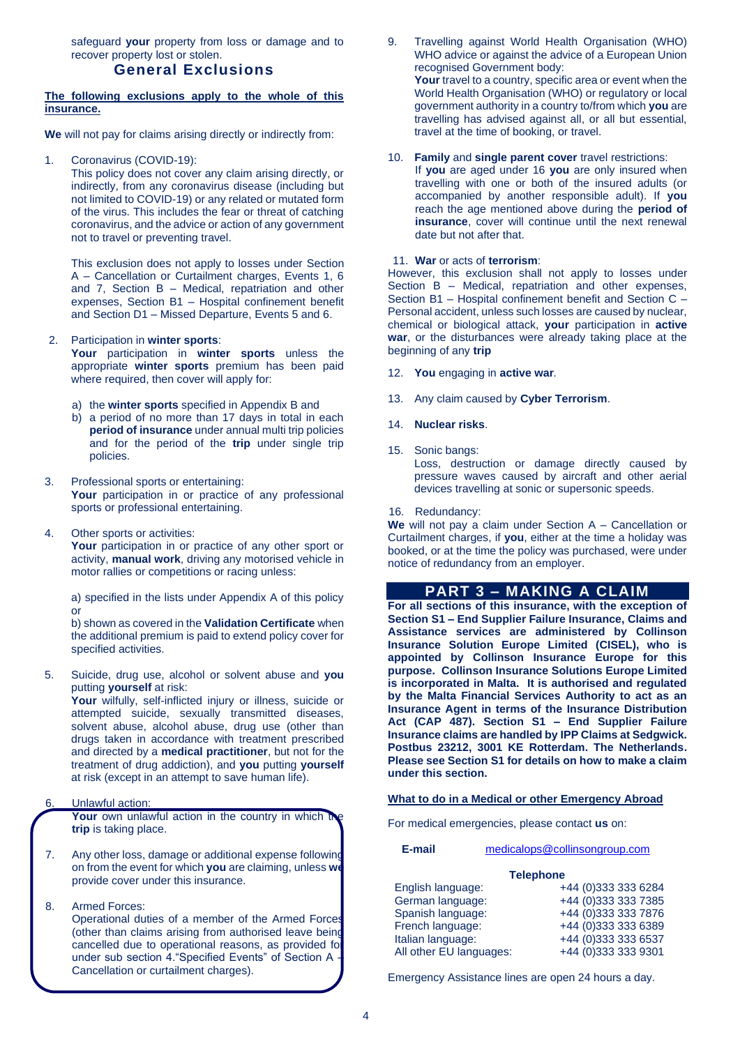safeguard **your** property from loss or damage and to recover property lost or stolen.

# **General Exclusions**

### **The following exclusions apply to the whole of this insurance.**

**We** will not pay for claims arising directly or indirectly from:

Coronavirus (COVID-19):

This policy does not cover any claim arising directly, or indirectly, from any coronavirus disease (including but not limited to COVID-19) or any related or mutated form of the virus. This includes the fear or threat of catching coronavirus, and the advice or action of any government not to travel or preventing travel.

This exclusion does not apply to losses under Section A – Cancellation or Curtailment charges, Events 1, 6 and 7, Section B – Medical, repatriation and other expenses, Section B1 – Hospital confinement benefit and Section D1 – Missed Departure, Events 5 and 6.

#### 2. Participation in **winter sports**:

**Your** participation in **winter sports** unless the appropriate **winter sports** premium has been paid where required, then cover will apply for:

- a) the **winter sports** specified in Appendix B and
- b) a period of no more than 17 days in total in each **period of insurance** under annual multi trip policies and for the period of the **trip** under single trip policies.
- 3. Professional sports or entertaining: Your participation in or practice of any professional sports or professional entertaining.
- 4. Other sports or activities:

Your participation in or practice of any other sport or activity, **manual work**, driving any motorised vehicle in motor rallies or competitions or racing unless:

a) specified in the lists under Appendix A of this policy or

b) shown as covered in the **Validation Certificate** when the additional premium is paid to extend policy cover for specified activities.

5. Suicide, drug use, alcohol or solvent abuse and **you** putting **yourself** at risk:

**Your** wilfully, self-inflicted injury or illness, suicide or attempted suicide, sexually transmitted diseases, solvent abuse, alcohol abuse, drug use (other than drugs taken in accordance with treatment prescribed and directed by a **medical practitioner**, but not for the treatment of drug addiction), and **you** putting **yourself**  at risk (except in an attempt to save human life).

# 6. Unlawful action:

**Your** own unlawful action in the country in which the **trip** is taking place.

- 7. Any other loss, damage or additional expense following on from the event for which **you** are claiming, unless **we** provide cover under this insurance.
- 8. Armed Forces:

Operational duties of a member of the Armed Forces (other than claims arising from authorised leave being cancelled due to operational reasons, as provided for under sub section 4."Specified Events" of Section A – Cancellation or curtailment charges).

9. Travelling against World Health Organisation (WHO) WHO advice or against the advice of a European Union recognised Government body: **Your** travel to a country, specific area or event when the World Health Organisation (WHO) or regulatory or local government authority in a country to/from which **you** are travelling has advised against all, or all but essential, travel at the time of booking, or travel.

#### 10. **Family** and **single parent cover** travel restrictions:

If **you** are aged under 16 **you** are only insured when travelling with one or both of the insured adults (or accompanied by another responsible adult). If **you** reach the age mentioned above during the **period of insurance**, cover will continue until the next renewal date but not after that.

#### 11. **War** or acts of **terrorism**:

However, this exclusion shall not apply to losses under Section B – Medical, repatriation and other expenses, Section B1 – Hospital confinement benefit and Section C – Personal accident, unless such losses are caused by nuclear, chemical or biological attack, **your** participation in **active war**, or the disturbances were already taking place at the beginning of any **trip**

- 12. **You** engaging in **active war***.*
- 13. Any claim caused by **Cyber Terrorism**.
- 14. **Nuclear risks**.
- 15. Sonic bangs:

Loss, destruction or damage directly caused by pressure waves caused by aircraft and other aerial devices travelling at sonic or supersonic speeds.

16. Redundancy:

**We** will not pay a claim under Section A – Cancellation or Curtailment charges, if **you**, either at the time a holiday was booked, or at the time the policy was purchased, were under notice of redundancy from an employer.

# **PART 3 – MAKING A CLAIM**

**For all sections of this insurance, with the exception of Section S1 – End Supplier Failure Insurance, Claims and Assistance services are administered by Collinson Insurance Solution Europe Limited (CISEL), who is appointed by Collinson Insurance Europe for this purpose. Collinson Insurance Solutions Europe Limited is incorporated in Malta. It is authorised and regulated by the Malta Financial Services Authority to act as an Insurance Agent in terms of the Insurance Distribution Act (CAP 487). Section S1 – End Supplier Failure Insurance claims are handled by IPP Claims at Sedgwick. Postbus 23212, 3001 KE Rotterdam. The Netherlands. Please see Section S1 for details on how to make a claim under this section.**

#### **What to do in a Medical or other Emergency Abroad**

For medical emergencies, please contact **us** on:

### **E-mail** [medicalops@collinsongroup.com](mailto:medicalops@collinsongroup.com)

### **Telephone** English language: +44 (0)333 333 6284 German language: +44 (0)333 333 7385 Spanish language: +44 (0)333 333 7876 French language: +44 (0)333 333 6389 Italian language: +44 (0)333 333 6537 All other EU languages: +44 (0)333 333 9301

Emergency Assistance lines are open 24 hours a day.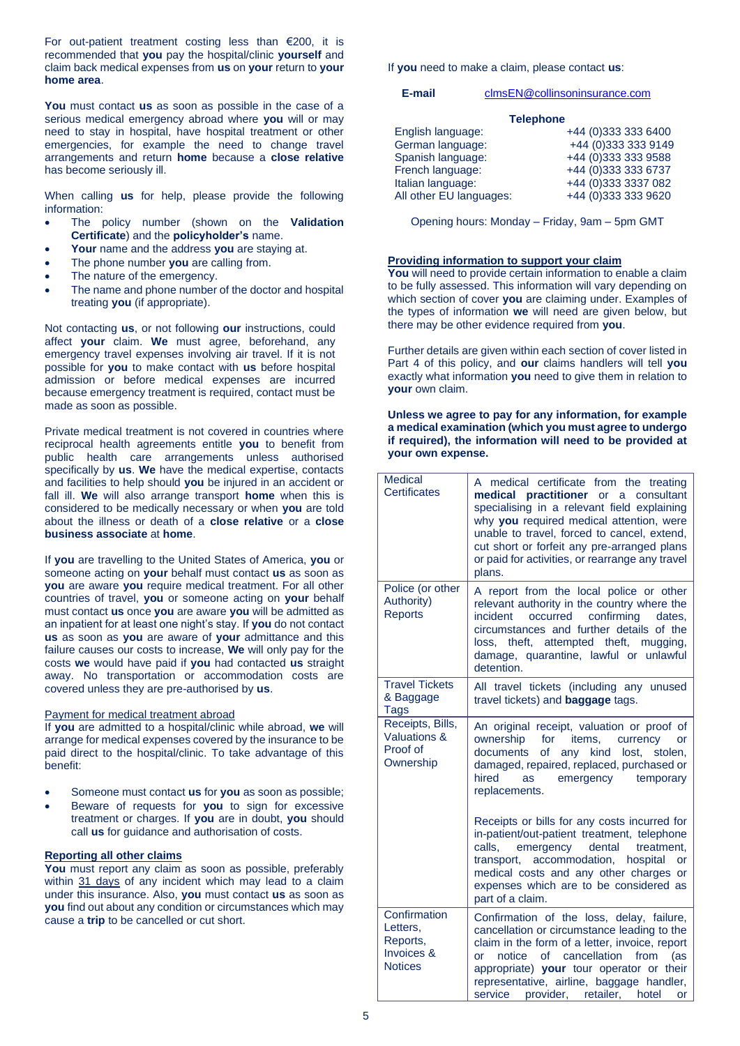For out-patient treatment costing less than €200, it is recommended that **you** pay the hospital/clinic **yourself** and claim back medical expenses from **us** on **your** return to **your home area**.

**You** must contact **us** as soon as possible in the case of a serious medical emergency abroad where **you** will or may need to stay in hospital, have hospital treatment or other emergencies, for example the need to change travel arrangements and return **home** because a **close relative** has become seriously ill.

When calling **us** for help, please provide the following information:

- The policy number (shown on the **Validation Certificate**) and the **policyholder's** name.
- **Your** name and the address **you** are staying at.
- The phone number **you** are calling from.
- The nature of the emergency.
- The name and phone number of the doctor and hospital treating **you** (if appropriate).

Not contacting **us**, or not following **our** instructions, could affect **your** claim. **We** must agree, beforehand, any emergency travel expenses involving air travel. If it is not possible for **you** to make contact with **us** before hospital admission or before medical expenses are incurred because emergency treatment is required, contact must be made as soon as possible.

Private medical treatment is not covered in countries where reciprocal health agreements entitle **you** to benefit from public health care arrangements unless authorised specifically by **us**. **We** have the medical expertise, contacts and facilities to help should **you** be injured in an accident or fall ill. **We** will also arrange transport **home** when this is considered to be medically necessary or when **you** are told about the illness or death of a **close relative** or a **close business associate** at **home**.

If **you** are travelling to the United States of America, **you** or someone acting on **your** behalf must contact **us** as soon as **you** are aware **you** require medical treatment. For all other countries of travel, **you** or someone acting on **your** behalf must contact **us** once **you** are aware **you** will be admitted as an inpatient for at least one night's stay. If **you** do not contact **us** as soon as **you** are aware of **your** admittance and this failure causes our costs to increase, **We** will only pay for the costs **we** would have paid if **you** had contacted **us** straight away. No transportation or accommodation costs are covered unless they are pre-authorised by **us**.

#### Payment for medical treatment abroad

If **you** are admitted to a hospital/clinic while abroad, **we** will arrange for medical expenses covered by the insurance to be paid direct to the hospital/clinic. To take advantage of this benefit:

- Someone must contact **us** for **you** as soon as possible;
- Beware of requests for **you** to sign for excessive treatment or charges. If **you** are in doubt, **you** should call **us** for guidance and authorisation of costs.

# **Reporting all other claims**

**You** must report any claim as soon as possible, preferably within 31 days of any incident which may lead to a claim under this insurance. Also, **you** must contact **us** as soon as **you** find out about any condition or circumstances which may cause a **trip** to be cancelled or cut short.

If **you** need to make a claim, please contact **us**:

**E-mail** [clmsEN@collinsoninsurance.com](mailto:clmsEN@collinsoninsurance.com)

| <b>Telephone</b>        |                     |  |  |  |
|-------------------------|---------------------|--|--|--|
| English language:       | +44 (0)333 333 6400 |  |  |  |
| German language:        | +44 (0)333 333 9149 |  |  |  |
| Spanish language:       | +44 (0)333 333 9588 |  |  |  |
| French language:        | +44 (0)333 333 6737 |  |  |  |
| Italian language:       | +44 (0)333 3337 082 |  |  |  |
| All other EU languages: | +44 (0)333 333 9620 |  |  |  |

Opening hours: Monday – Friday, 9am – 5pm GMT

### **Providing information to support your claim**

**You** will need to provide certain information to enable a claim to be fully assessed. This information will vary depending on which section of cover **you** are claiming under. Examples of the types of information **we** will need are given below, but there may be other evidence required from **you**.

Further details are given within each section of cover listed in Part 4 of this policy, and **our** claims handlers will tell **you**  exactly what information **you** need to give them in relation to **your** own claim.

#### **Unless we agree to pay for any information, for example a medical examination (which you must agree to undergo if required), the information will need to be provided at your own expense.**

| <b>Medical</b><br><b>Certificates</b>                                | A medical certificate from the treating<br>practitioner or a consultant<br>medical<br>specialising in a relevant field explaining<br>why you required medical attention, were<br>unable to travel, forced to cancel, extend,<br>cut short or forfeit any pre-arranged plans<br>or paid for activities, or rearrange any travel<br>plans. |
|----------------------------------------------------------------------|------------------------------------------------------------------------------------------------------------------------------------------------------------------------------------------------------------------------------------------------------------------------------------------------------------------------------------------|
| Police (or other<br>Authority)<br><b>Reports</b>                     | A report from the local police or other<br>relevant authority in the country where the<br>confirming<br>incident<br>occurred<br>dates.<br>circumstances and further details of the<br>theft, attempted theft,<br>loss.<br>mugging,<br>damage, quarantine, lawful or unlawful<br>detention.                                               |
| <b>Travel Tickets</b><br>& Baggage<br>Tags                           | All travel tickets (including any unused<br>travel tickets) and <b>baggage</b> tags.                                                                                                                                                                                                                                                     |
| Receipts, Bills,<br><b>Valuations &amp;</b><br>Proof of<br>Ownership | An original receipt, valuation or proof of<br>ownership for<br>items,<br>currency<br>or<br>documents<br><b>of</b><br>any kind<br>lost,<br>stolen,<br>damaged, repaired, replaced, purchased or<br>hired<br><b>as</b><br>emergency<br>temporary<br>replacements.                                                                          |
|                                                                      | Receipts or bills for any costs incurred for<br>in-patient/out-patient treatment, telephone<br>calls.<br>emergency dental<br>treatment.<br>transport, accommodation, hospital or<br>medical costs and any other charges or<br>expenses which are to be considered as<br>part of a claim.                                                 |
| Confirmation<br>Letters,<br>Reports,<br>Invoices &<br><b>Notices</b> | Confirmation of the loss, delay, failure,<br>cancellation or circumstance leading to the<br>claim in the form of a letter, invoice, report<br>notice of cancellation<br>from<br>(as<br>or<br>appropriate) your tour operator or their<br>representative, airline, baggage handler,<br>service provider, retailer, hotel<br>or            |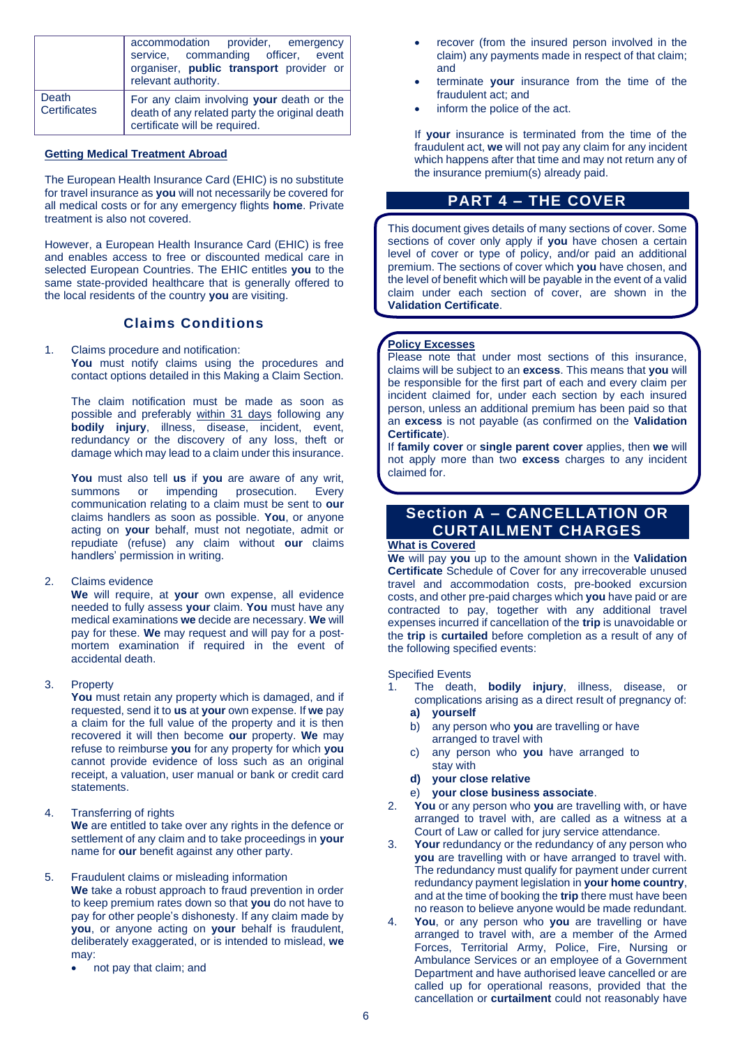|                              | accommodation provider, emergency<br>service, commanding officer, event<br>organiser, public transport provider or<br>relevant authority. |
|------------------------------|-------------------------------------------------------------------------------------------------------------------------------------------|
| Death<br><b>Certificates</b> | For any claim involving your death or the<br>death of any related party the original death<br>certificate will be required.               |

# **Getting Medical Treatment Abroad**

The European Health Insurance Card (EHIC) is no substitute for travel insurance as **you** will not necessarily be covered for all medical costs or for any emergency flights **home**. Private treatment is also not covered.

However, a European Health Insurance Card (EHIC) is free and enables access to free or discounted medical care in selected European Countries. The EHIC entitles **you** to the same state-provided healthcare that is generally offered to the local residents of the country **you** are visiting.

# **Claims Conditions**

#### 1. Claims procedure and notification: You must notify claims using the procedures and contact options detailed in this Making a Claim Section.

The claim notification must be made as soon as possible and preferably within 31 days following any **bodily injury**, illness, disease, incident, event, redundancy or the discovery of any loss, theft or damage which may lead to a claim under this insurance.

**You** must also tell **us** if **you** are aware of any writ, summons or impending prosecution. Every communication relating to a claim must be sent to **our**  claims handlers as soon as possible. **You**, or anyone acting on **your** behalf, must not negotiate, admit or repudiate (refuse) any claim without **our** claims handlers' permission in writing.

2. Claims evidence

**We** will require, at **your** own expense, all evidence needed to fully assess **your** claim. **You** must have any medical examinations **we** decide are necessary. **We** will pay for these. **We** may request and will pay for a postmortem examination if required in the event of accidental death.

3. Property

**You** must retain any property which is damaged, and if requested, send it to **us** at **your** own expense. If **we** pay a claim for the full value of the property and it is then recovered it will then become **our** property. **We** may refuse to reimburse **you** for any property for which **you**  cannot provide evidence of loss such as an original receipt, a valuation, user manual or bank or credit card statements.

4. Transferring of rights

**We** are entitled to take over any rights in the defence or settlement of any claim and to take proceedings in **your**  name for **our** benefit against any other party.

### 5. Fraudulent claims or misleading information **We** take a robust approach to fraud prevention in order to keep premium rates down so that **you** do not have to

pay for other people's dishonesty. If any claim made by **you**, or anyone acting on **your** behalf is fraudulent, deliberately exaggerated, or is intended to mislead, **we** may:

• not pay that claim; and

- recover (from the insured person involved in the claim) any payments made in respect of that claim; and
- terminate **your** insurance from the time of the fraudulent act; and
- inform the police of the act.

If **your** insurance is terminated from the time of the fraudulent act, **we** will not pay any claim for any incident which happens after that time and may not return any of the insurance premium(s) already paid.

# **PART 4 – THE COVER**

This document gives details of many sections of cover. Some sections of cover only apply if **you** have chosen a certain level of cover or type of policy, and/or paid an additional premium. The sections of cover which **you** have chosen, and the level of benefit which will be payable in the event of a valid claim under each section of cover, are shown in the **Validation Certificate**.

# **Policy Excesses**

Please note that under most sections of this insurance, claims will be subject to an **excess**. This means that **you** will be responsible for the first part of each and every claim per incident claimed for, under each section by each insured person, unless an additional premium has been paid so that an **excess** is not payable (as confirmed on the **Validation Certificate**).

If **family cover** or **single parent cover** applies, then **we** will not apply more than two **excess** charges to any incident claimed for.

# **Section A – CANCELLATION OR CURTAILMENT CHARGES**

# **What is Covered**

**We** will pay **you** up to the amount shown in the **Validation Certificate** Schedule of Cover for any irrecoverable unused travel and accommodation costs, pre-booked excursion costs, and other pre-paid charges which **you** have paid or are contracted to pay, together with any additional travel expenses incurred if cancellation of the **trip** is unavoidable or the **trip** is **curtailed** before completion as a result of any of the following specified events:

Specified Events

- 1. The death, **bodily injury**, illness, disease, or complications arising as a direct result of pregnancy of: **a) yourself**
	- b) any person who **you** are travelling or have arranged to travel with
	- c) any person who **you** have arranged to stay with
	- **d) your close relative**
	- e) **your close business associate**.
- 2. **You** or any person who **you** are travelling with, or have arranged to travel with, are called as a witness at a Court of Law or called for jury service attendance.
- 3. **Your** redundancy or the redundancy of any person who **you** are travelling with or have arranged to travel with. The redundancy must qualify for payment under current redundancy payment legislation in **your home country**, and at the time of booking the **trip** there must have been no reason to believe anyone would be made redundant.
- 4. **You**, or any person who **you** are travelling or have arranged to travel with, are a member of the Armed Forces, Territorial Army, Police, Fire, Nursing or Ambulance Services or an employee of a Government Department and have authorised leave cancelled or are called up for operational reasons, provided that the cancellation or **curtailment** could not reasonably have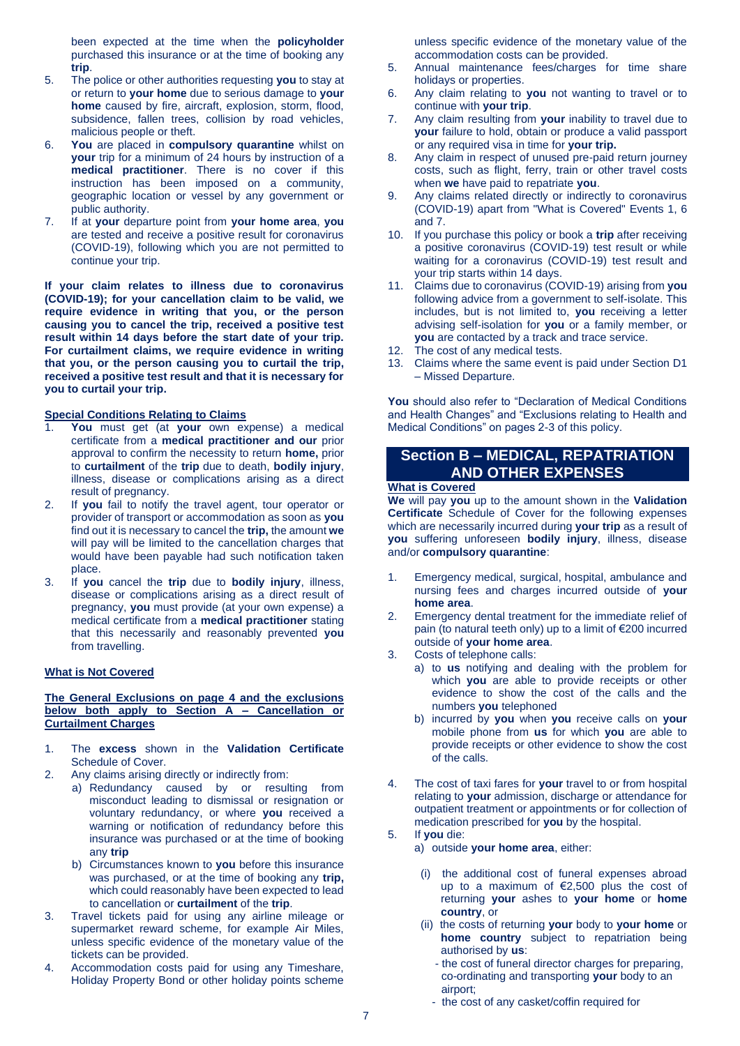been expected at the time when the **policyholder** purchased this insurance or at the time of booking any **trip**.

- 5. The police or other authorities requesting **you** to stay at or return to **your home** due to serious damage to **your home** caused by fire, aircraft, explosion, storm, flood, subsidence, fallen trees, collision by road vehicles, malicious people or theft.
- 6. **You** are placed in **compulsory quarantine** whilst on **your** trip for a minimum of 24 hours by instruction of a **medical practitioner**. There is no cover if this instruction has been imposed on a community, geographic location or vessel by any government or public authority.
- 7. If at **your** departure point from **your home area**, **you** are tested and receive a positive result for coronavirus (COVID-19), following which you are not permitted to continue your trip.

**If your claim relates to illness due to coronavirus (COVID-19); for your cancellation claim to be valid, we require evidence in writing that you, or the person causing you to cancel the trip, received a positive test result within 14 days before the start date of your trip. For curtailment claims, we require evidence in writing that you, or the person causing you to curtail the trip, received a positive test result and that it is necessary for you to curtail your trip.**

# **Special Conditions Relating to Claims**

- You must get (at your own expense) a medical certificate from a **medical practitioner and our** prior approval to confirm the necessity to return **home,** prior to **curtailment** of the **trip** due to death, **bodily injury**, illness, disease or complications arising as a direct result of pregnancy.
- 2. If **you** fail to notify the travel agent, tour operator or provider of transport or accommodation as soon as **you**  find out it is necessary to cancel the **trip,** the amount **we**  will pay will be limited to the cancellation charges that would have been payable had such notification taken place.
- 3. If **you** cancel the **trip** due to **bodily injury**, illness, disease or complications arising as a direct result of pregnancy, **you** must provide (at your own expense) a medical certificate from a **medical practitioner** stating that this necessarily and reasonably prevented **you** from travelling.

#### **What is Not Covered**

# **The General Exclusions on page 4 and the exclusions below both apply to Section A – Cancellation or Curtailment Charges**

- 1. The **excess** shown in the **Validation Certificate**  Schedule of Cover.
- 2. Any claims arising directly or indirectly from:
	- a) Redundancy caused by or resulting from misconduct leading to dismissal or resignation or voluntary redundancy, or where **you** received a warning or notification of redundancy before this insurance was purchased or at the time of booking any **trip**
	- b) Circumstances known to **you** before this insurance was purchased, or at the time of booking any **trip,** which could reasonably have been expected to lead to cancellation or **curtailment** of the **trip**.
- 3. Travel tickets paid for using any airline mileage or supermarket reward scheme, for example Air Miles, unless specific evidence of the monetary value of the tickets can be provided.
- 4. Accommodation costs paid for using any Timeshare, Holiday Property Bond or other holiday points scheme

unless specific evidence of the monetary value of the accommodation costs can be provided.

- 5. Annual maintenance fees/charges for time share holidays or properties.
- 6. Any claim relating to **you** not wanting to travel or to continue with **your trip**.
- 7. Any claim resulting from **your** inability to travel due to **your** failure to hold, obtain or produce a valid passport or any required visa in time for **your trip.**
- 8. Any claim in respect of unused pre-paid return journey costs, such as flight, ferry, train or other travel costs when **we** have paid to repatriate **you**.
- 9. Any claims related directly or indirectly to coronavirus (COVID-19) apart from "What is Covered" Events 1, 6 and 7.
- 10. If you purchase this policy or book a **trip** after receiving a positive coronavirus (COVID-19) test result or while waiting for a coronavirus (COVID-19) test result and your trip starts within 14 days.
- 11. Claims due to coronavirus (COVID-19) arising from **you** following advice from a government to self-isolate. This includes, but is not limited to, **you** receiving a letter advising self-isolation for **you** or a family member, or **you** are contacted by a track and trace service.
- 12. The cost of any medical tests.
- 13. Claims where the same event is paid under Section D1 – Missed Departure.

**You** should also refer to "Declaration of Medical Conditions and Health Changes" and "Exclusions relating to Health and Medical Conditions" on pages 2-3 of this policy.

# **Section B – MEDICAL, REPATRIATION AND OTHER EXPENSES**

#### **What is Covered**

**We** will pay **you** up to the amount shown in the **Validation Certificate** Schedule of Cover for the following expenses which are necessarily incurred during **your trip** as a result of **you** suffering unforeseen **bodily injury**, illness, disease and/or **compulsory quarantine**:

- 1. Emergency medical, surgical, hospital, ambulance and nursing fees and charges incurred outside of **your home area**.
- 2. Emergency dental treatment for the immediate relief of pain (to natural teeth only) up to a limit of €200 incurred outside of **your home area**.
- 3. Costs of telephone calls:
	- a) to **us** notifying and dealing with the problem for which **you** are able to provide receipts or other evidence to show the cost of the calls and the numbers **you** telephoned
	- b) incurred by **you** when **you** receive calls on **your** mobile phone from **us** for which **you** are able to provide receipts or other evidence to show the cost of the calls.
- 4. The cost of taxi fares for **your** travel to or from hospital relating to **your** admission, discharge or attendance for outpatient treatment or appointments or for collection of medication prescribed for **you** by the hospital.
- 5. If **you** die: a) outside **your home area**, either:
	- (i) the additional cost of funeral expenses abroad up to a maximum of €2,500 plus the cost of returning **your** ashes to **your home** or **home country**, or
	- (ii) the costs of returning **your** body to **your home** or **home country** subject to repatriation being authorised by **us**:
		- the cost of funeral director charges for preparing, co-ordinating and transporting **your** body to an airport;
		- the cost of any casket/coffin required for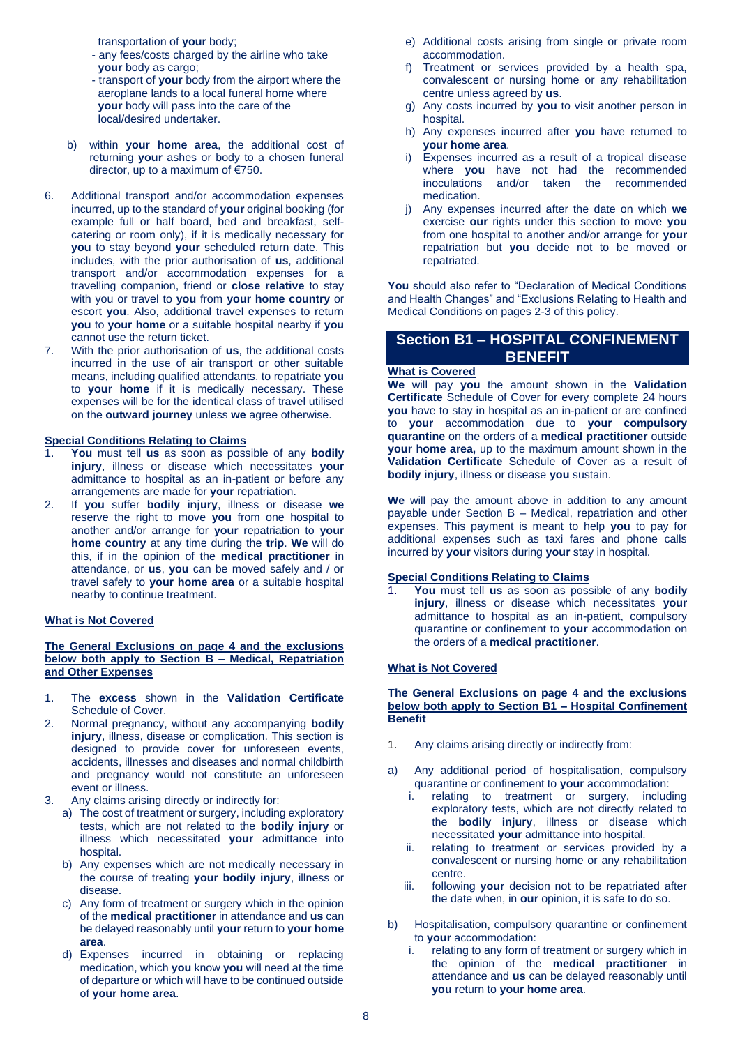transportation of **your** body;

- any fees/costs charged by the airline who take **your** body as cargo;
- transport of **your** body from the airport where the aeroplane lands to a local funeral home where  **your** body will pass into the care of the local/desired undertaker.
- b) within **your home area**, the additional cost of returning **your** ashes or body to a chosen funeral director, up to a maximum of €750.
- 6. Additional transport and/or accommodation expenses incurred, up to the standard of **your** original booking (for example full or half board, bed and breakfast, selfcatering or room only), if it is medically necessary for **you** to stay beyond **your** scheduled return date. This includes, with the prior authorisation of **us**, additional transport and/or accommodation expenses for a travelling companion, friend or **close relative** to stay with you or travel to **you** from **your home country** or escort **you**. Also, additional travel expenses to return **you** to **your home** or a suitable hospital nearby if **you**  cannot use the return ticket.
- 7. With the prior authorisation of **us**, the additional costs incurred in the use of air transport or other suitable means, including qualified attendants, to repatriate **you** to **your home** if it is medically necessary. These expenses will be for the identical class of travel utilised on the **outward journey** unless **we** agree otherwise.

### **Special Conditions Relating to Claims**

- 1. **You** must tell **us** as soon as possible of any **bodily injury**, illness or disease which necessitates **your** admittance to hospital as an in-patient or before any arrangements are made for **your** repatriation.
- 2. If **you** suffer **bodily injury**, illness or disease **we**  reserve the right to move **you** from one hospital to another and/or arrange for **your** repatriation to **your home country** at any time during the **trip**. **We** will do this, if in the opinion of the **medical practitioner** in attendance, or **us**, **you** can be moved safely and / or travel safely to **your home area** or a suitable hospital nearby to continue treatment.

# **What is Not Covered**

### **The General Exclusions on page 4 and the exclusions below both apply to Section B – Medical, Repatriation and Other Expenses**

- 1. The **excess** shown in the **Validation Certificate** Schedule of Cover.
- 2. Normal pregnancy, without any accompanying **bodily injury**, illness, disease or complication. This section is designed to provide cover for unforeseen events, accidents, illnesses and diseases and normal childbirth and pregnancy would not constitute an unforeseen event or illness.
- Any claims arising directly or indirectly for:
	- a) The cost of treatment or surgery, including exploratory tests, which are not related to the **bodily injury** or illness which necessitated **your** admittance into hospital.
	- b) Any expenses which are not medically necessary in the course of treating **your bodily injury**, illness or disease.
	- c) Any form of treatment or surgery which in the opinion of the **medical practitioner** in attendance and **us** can be delayed reasonably until **your** return to **your home area**.
	- d) Expenses incurred in obtaining or replacing medication, which **you** know **you** will need at the time of departure or which will have to be continued outside of **your home area**.
- e) Additional costs arising from single or private room accommodation.
- f) Treatment or services provided by a health spa, convalescent or nursing home or any rehabilitation centre unless agreed by **us**.
- g) Any costs incurred by **you** to visit another person in hospital.
- h) Any expenses incurred after **you** have returned to **your home area**.
- i) Expenses incurred as a result of a tropical disease where **you** have not had the recommended inoculations and/or taken the recommended medication.
- j) Any expenses incurred after the date on which **we** exercise **our** rights under this section to move **you** from one hospital to another and/or arrange for **your**  repatriation but **you** decide not to be moved or repatriated.

**You** should also refer to "Declaration of Medical Conditions and Health Changes" and "Exclusions Relating to Health and Medical Conditions on pages 2-3 of this policy.

# **Section B1 – HOSPITAL CONFINEMENT BENEFIT**

#### **What is Covered**

**We** will pay **you** the amount shown in the **Validation Certificate** Schedule of Cover for every complete 24 hours **you** have to stay in hospital as an in-patient or are confined to **your** accommodation due to **your compulsory quarantine** on the orders of a **medical practitioner** outside **your home area,** up to the maximum amount shown in the **Validation Certificate** Schedule of Cover as a result of **bodily injury**, illness or disease **you** sustain.

**We** will pay the amount above in addition to any amount payable under Section B – Medical, repatriation and other expenses. This payment is meant to help **you** to pay for additional expenses such as taxi fares and phone calls incurred by **your** visitors during **your** stay in hospital.

# **Special Conditions Relating to Claims**

1. **You** must tell **us** as soon as possible of any **bodily injury**, illness or disease which necessitates **your** admittance to hospital as an in-patient, compulsory quarantine or confinement to **your** accommodation on the orders of a **medical practitioner**.

#### **What is Not Covered**

#### **The General Exclusions on page 4 and the exclusions below both apply to Section B1 – Hospital Confinement Benefit**

- 1. Any claims arising directly or indirectly from:
- a) Any additional period of hospitalisation, compulsory quarantine or confinement to **your** accommodation:<br>i. relating to treatment or surgery, include
	- relating to treatment or surgery, including exploratory tests, which are not directly related to the **bodily injury**, illness or disease which necessitated **your** admittance into hospital.
	- ii. relating to treatment or services provided by a convalescent or nursing home or any rehabilitation centre.
	- iii. following **your** decision not to be repatriated after the date when, in **our** opinion, it is safe to do so.
- b) Hospitalisation, compulsory quarantine or confinement to **your** accommodation:
	- i. relating to any form of treatment or surgery which in the opinion of the **medical practitioner** in attendance and **us** can be delayed reasonably until **you** return to **your home area**.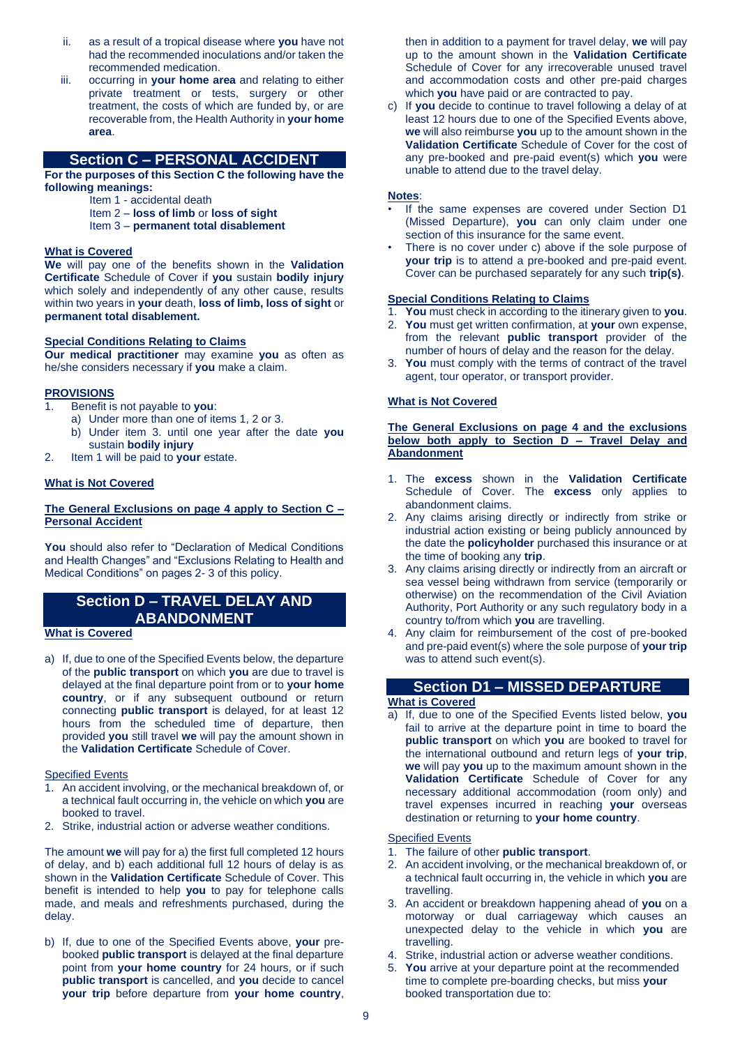- ii. as a result of a tropical disease where **you** have not had the recommended inoculations and/or taken the recommended medication.
- iii. occurring in **your home area** and relating to either private treatment or tests, surgery or other treatment, the costs of which are funded by, or are recoverable from, the Health Authority in **your home area**.

# **Section C – PERSONAL ACCIDENT**

**For the purposes of this Section C the following have the following meanings:**

- Item 1 accidental death
- Item 2 **loss of limb** or **loss of sight**
- Item 3 **permanent total disablement**

### **What is Covered**

**We** will pay one of the benefits shown in the **Validation Certificate** Schedule of Cover if **you** sustain **bodily injury**  which solely and independently of any other cause, results within two years in **your** death, **loss of limb, loss of sight** or **permanent total disablement.**

# **Special Conditions Relating to Claims**

**Our medical practitioner** may examine **you** as often as he/she considers necessary if **you** make a claim.

#### **PROVISIONS**

- 1. Benefit is not payable to **you**:
	- a) Under more than one of items 1, 2 or 3.
	- b) Under item 3. until one year after the date **you** sustain **bodily injury**
- 2. Item 1 will be paid to **your** estate.

### **What is Not Covered**

# **The General Exclusions on page 4 apply to Section C – Personal Accident**

**You** should also refer to "Declaration of Medical Conditions and Health Changes" and "Exclusions Relating to Health and Medical Conditions" on pages 2- 3 of this policy.

# **Section D – TRAVEL DELAY AND ABANDONMENT**

### **What is Covered**

a) If, due to one of the Specified Events below, the departure of the **public transport** on which **you** are due to travel is delayed at the final departure point from or to **your home country**, or if any subsequent outbound or return connecting **public transport** is delayed, for at least 12 hours from the scheduled time of departure, then provided **you** still travel **we** will pay the amount shown in the **Validation Certificate** Schedule of Cover.

# Specified Events

- 1. An accident involving, or the mechanical breakdown of, or a technical fault occurring in, the vehicle on which **you** are booked to travel.
- 2. Strike, industrial action or adverse weather conditions.

The amount **we** will pay for a) the first full completed 12 hours of delay, and b) each additional full 12 hours of delay is as shown in the **Validation Certificate** Schedule of Cover. This benefit is intended to help **you** to pay for telephone calls made, and meals and refreshments purchased, during the delay.

b) If, due to one of the Specified Events above, **your** prebooked **public transport** is delayed at the final departure point from **your home country** for 24 hours, or if such **public transport** is cancelled, and **you** decide to cancel **your trip** before departure from **your home country**,

then in addition to a payment for travel delay, **we** will pay up to the amount shown in the **Validation Certificate** Schedule of Cover for any irrecoverable unused travel and accommodation costs and other pre-paid charges which **you** have paid or are contracted to pay.

c) If **you** decide to continue to travel following a delay of at least 12 hours due to one of the Specified Events above, **we** will also reimburse **you** up to the amount shown in the **Validation Certificate** Schedule of Cover for the cost of any pre-booked and pre-paid event(s) which **you** were unable to attend due to the travel delay.

### **Notes**:

- If the same expenses are covered under Section D1 (Missed Departure), **you** can only claim under one section of this insurance for the same event.
- There is no cover under c) above if the sole purpose of **your trip** is to attend a pre-booked and pre-paid event. Cover can be purchased separately for any such **trip(s)**.

#### **Special Conditions Relating to Claims**

- 1. **You** must check in according to the itinerary given to **you**.
- 2. **You** must get written confirmation, at **your** own expense, from the relevant **public transport** provider of the number of hours of delay and the reason for the delay.
- 3. **You** must comply with the terms of contract of the travel agent, tour operator, or transport provider.

# **What is Not Covered**

**The General Exclusions on page 4 and the exclusions below both apply to Section D – Travel Delay and Abandonment**

- 1. The **excess** shown in the **Validation Certificate** Schedule of Cover. The **excess** only applies to abandonment claims.
- 2. Any claims arising directly or indirectly from strike or industrial action existing or being publicly announced by the date the **policyholder** purchased this insurance or at the time of booking any **trip**.
- 3. Any claims arising directly or indirectly from an aircraft or sea vessel being withdrawn from service (temporarily or otherwise) on the recommendation of the Civil Aviation Authority, Port Authority or any such regulatory body in a country to/from which **you** are travelling.
- 4. Any claim for reimbursement of the cost of pre-booked and pre-paid event(s) where the sole purpose of **your trip** was to attend such event(s).

# **Section D1 – MISSED DEPARTURE**

# **What is Covered**

a) If, due to one of the Specified Events listed below, **you**  fail to arrive at the departure point in time to board the **public transport** on which **you** are booked to travel for the international outbound and return legs of **your trip**, **we** will pay **you** up to the maximum amount shown in the **Validation Certificate** Schedule of Cover for any necessary additional accommodation (room only) and travel expenses incurred in reaching **your** overseas destination or returning to **your home country**.

#### Specified Events

- 1. The failure of other **public transport**.
- 2. An accident involving, or the mechanical breakdown of, or a technical fault occurring in, the vehicle in which **you** are travelling.
- 3. An accident or breakdown happening ahead of **you** on a motorway or dual carriageway which causes an unexpected delay to the vehicle in which **you** are travelling.
- 4. Strike, industrial action or adverse weather conditions.
- 5. **You** arrive at your departure point at the recommended time to complete pre-boarding checks, but miss **your**  booked transportation due to: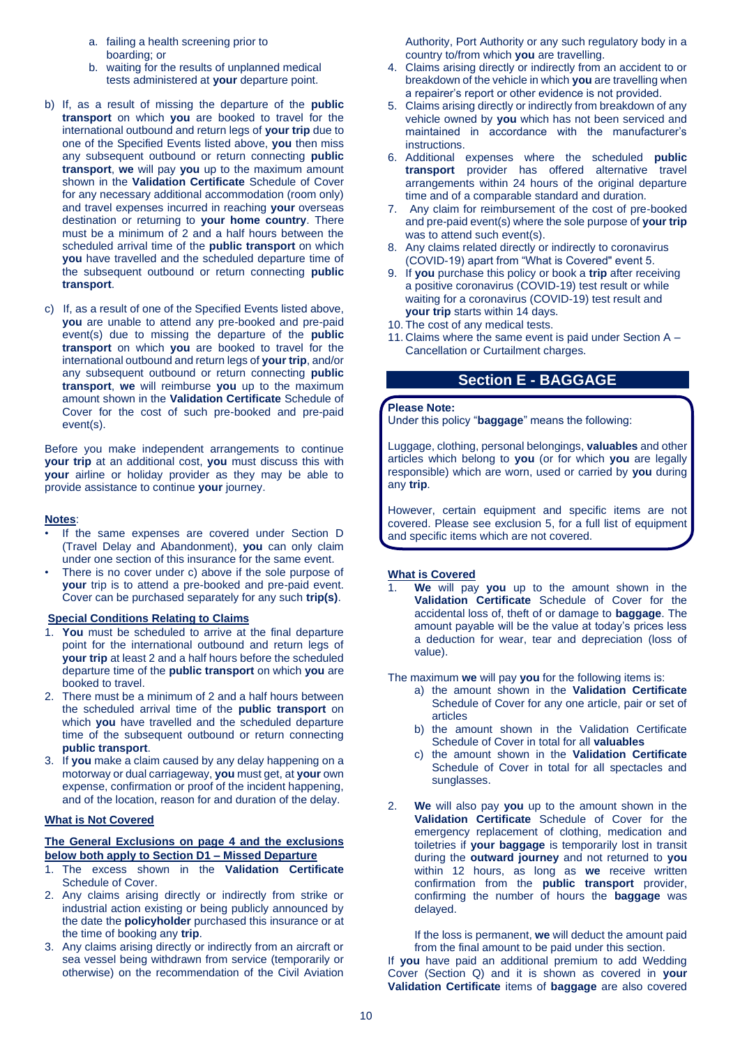- a. failing a health screening prior to boarding; or
- b. waiting for the results of unplanned medical tests administered at **your** departure point.
- b) If, as a result of missing the departure of the **public transport** on which **you** are booked to travel for the international outbound and return legs of **your trip** due to one of the Specified Events listed above, **you** then miss any subsequent outbound or return connecting **public transport**, **we** will pay **you** up to the maximum amount shown in the **Validation Certificate** Schedule of Cover for any necessary additional accommodation (room only) and travel expenses incurred in reaching **your** overseas destination or returning to **your home country**. There must be a minimum of 2 and a half hours between the scheduled arrival time of the **public transport** on which **you** have travelled and the scheduled departure time of the subsequent outbound or return connecting **public transport**.
- c)If, as a result of one of the Specified Events listed above, **you** are unable to attend any pre-booked and pre-paid event(s) due to missing the departure of the **public transport** on which **you** are booked to travel for the international outbound and return legs of **your trip**, and/or any subsequent outbound or return connecting **public transport**, **we** will reimburse **you** up to the maximum amount shown in the **Validation Certificate** Schedule of Cover for the cost of such pre-booked and pre-paid event(s).

Before you make independent arrangements to continue **your trip** at an additional cost, **you** must discuss this with **your** airline or holiday provider as they may be able to provide assistance to continue **your** journey.

#### **Notes**:

- If the same expenses are covered under Section D (Travel Delay and Abandonment), **you** can only claim under one section of this insurance for the same event.
- There is no cover under c) above if the sole purpose of **your** trip is to attend a pre-booked and pre-paid event. Cover can be purchased separately for any such **trip(s)**.

#### **Special Conditions Relating to Claims**

- 1. **You** must be scheduled to arrive at the final departure point for the international outbound and return legs of **your trip** at least 2 and a half hours before the scheduled departure time of the **public transport** on which **you** are booked to travel.
- 2. There must be a minimum of 2 and a half hours between the scheduled arrival time of the **public transport** on which **you** have travelled and the scheduled departure time of the subsequent outbound or return connecting **public transport**.
- 3. If **you** make a claim caused by any delay happening on a motorway or dual carriageway, **you** must get, at **your** own expense, confirmation or proof of the incident happening, and of the location, reason for and duration of the delay.

#### **What is Not Covered**

### **The General Exclusions on page 4 and the exclusions below both apply to Section D1 – Missed Departure**

- 1. The excess shown in the **Validation Certificate** Schedule of Cover.
- 2. Any claims arising directly or indirectly from strike or industrial action existing or being publicly announced by the date the **policyholder** purchased this insurance or at the time of booking any **trip**.
- 3. Any claims arising directly or indirectly from an aircraft or sea vessel being withdrawn from service (temporarily or otherwise) on the recommendation of the Civil Aviation

Authority, Port Authority or any such regulatory body in a country to/from which **you** are travelling.

- 4. Claims arising directly or indirectly from an accident to or breakdown of the vehicle in which **you** are travelling when a repairer's report or other evidence is not provided.
- 5. Claims arising directly or indirectly from breakdown of any vehicle owned by **you** which has not been serviced and maintained in accordance with the manufacturer's instructions.
- 6. Additional expenses where the scheduled **public transport** provider has offered alternative travel arrangements within 24 hours of the original departure time and of a comparable standard and duration.
- 7. Any claim for reimbursement of the cost of pre-booked and pre-paid event(s) where the sole purpose of **your trip** was to attend such event(s).
- 8. Any claims related directly or indirectly to coronavirus (COVID-19) apart from "What is Covered" event 5.
- 9. If **you** purchase this policy or book a **trip** after receiving a positive coronavirus (COVID-19) test result or while waiting for a coronavirus (COVID-19) test result and **your trip** starts within 14 days.
- 10. The cost of any medical tests.
- 11. Claims where the same event is paid under Section A Cancellation or Curtailment charges.

# **Section E - BAGGAGE**

#### **Please Note:**

Under this policy "**baggage**" means the following:

Luggage, clothing, personal belongings, **valuables** and other articles which belong to **you** (or for which **you** are legally responsible) which are worn, used or carried by **you** during any **trip**.

However, certain equipment and specific items are not covered. Please see exclusion 5, for a full list of equipment and specific items which are not covered.

# **What is Covered**

1. **We** will pay **you** up to the amount shown in the **Validation Certificate** Schedule of Cover for the accidental loss of, theft of or damage to **baggage**. The amount payable will be the value at today's prices less a deduction for wear, tear and depreciation (loss of value).

The maximum **we** will pay **you** for the following items is:

- a) the amount shown in the **Validation Certificate**  Schedule of Cover for any one article, pair or set of articles
- b) the amount shown in the Validation Certificate Schedule of Cover in total for all **valuables**
- c) the amount shown in the **Validation Certificate** Schedule of Cover in total for all spectacles and sunglasses.
- 2. **We** will also pay **you** up to the amount shown in the **Validation Certificate** Schedule of Cover for the emergency replacement of clothing, medication and toiletries if **your baggage** is temporarily lost in transit during the **outward journey** and not returned to **you**  within 12 hours, as long as **we** receive written confirmation from the **public transport** provider, confirming the number of hours the **baggage** was delayed.

If the loss is permanent, **we** will deduct the amount paid from the final amount to be paid under this section.

If **you** have paid an additional premium to add Wedding Cover (Section Q) and it is shown as covered in **your Validation Certificate** items of **baggage** are also covered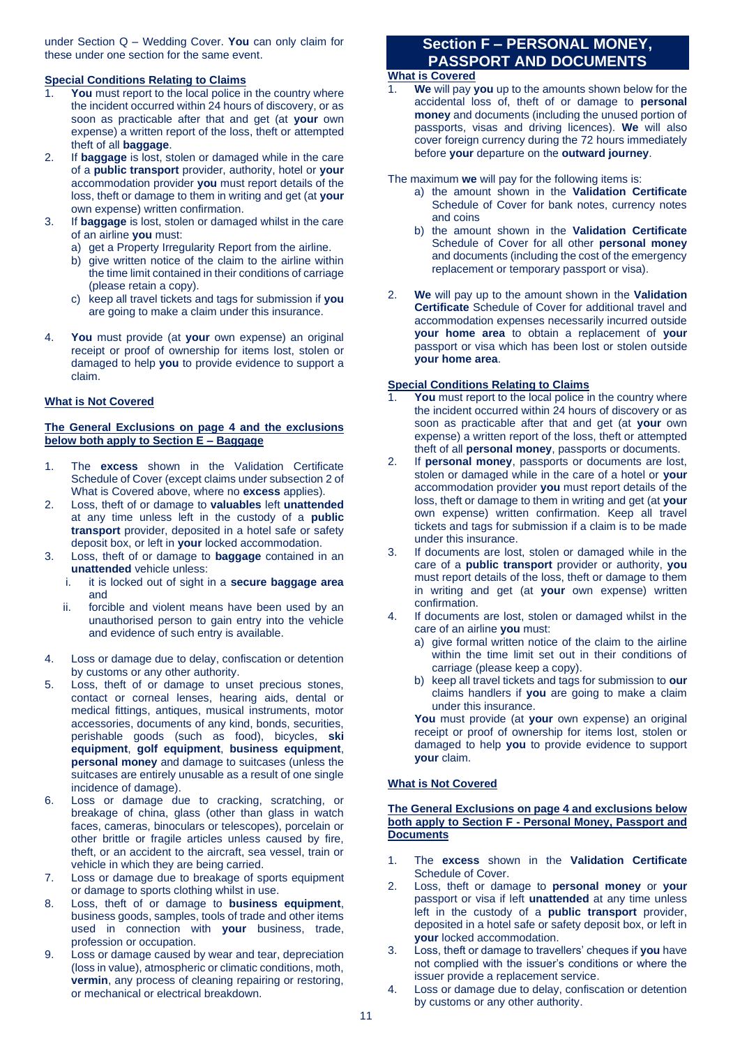under Section Q – Wedding Cover. **You** can only claim for these under one section for the same event.

# **Special Conditions Relating to Claims**

- You must report to the local police in the country where the incident occurred within 24 hours of discovery, or as soon as practicable after that and get (at **your** own expense) a written report of the loss, theft or attempted theft of all **baggage**.
- 2. If **baggage** is lost, stolen or damaged while in the care of a **public transport** provider, authority, hotel or **your**  accommodation provider **you** must report details of the loss, theft or damage to them in writing and get (at **your**  own expense) written confirmation.
- 3. If **baggage** is lost, stolen or damaged whilst in the care of an airline **you** must:
	- a) get a Property Irregularity Report from the airline.
	- b) give written notice of the claim to the airline within the time limit contained in their conditions of carriage (please retain a copy).
	- c) keep all travel tickets and tags for submission if **you** are going to make a claim under this insurance.
- 4. **You** must provide (at **your** own expense) an original receipt or proof of ownership for items lost, stolen or damaged to help **you** to provide evidence to support a claim.

# **What is Not Covered**

# **The General Exclusions on page 4 and the exclusions below both apply to Section E – Baggage**

- 1. The **excess** shown in the Validation Certificate Schedule of Cover (except claims under subsection 2 of What is Covered above, where no **excess** applies).
- 2. Loss, theft of or damage to **valuables** left **unattended** at any time unless left in the custody of a **public transport** provider, deposited in a hotel safe or safety deposit box, or left in **your** locked accommodation.
- 3. Loss, theft of or damage to **baggage** contained in an **unattended** vehicle unless:
	- i. it is locked out of sight in a **secure baggage area**  and
	- ii. forcible and violent means have been used by an unauthorised person to gain entry into the vehicle and evidence of such entry is available.
- 4. Loss or damage due to delay, confiscation or detention by customs or any other authority.
- 5. Loss, theft of or damage to unset precious stones, contact or corneal lenses, hearing aids, dental or medical fittings, antiques, musical instruments, motor accessories, documents of any kind, bonds, securities, perishable goods (such as food), bicycles, **ski equipment**, **golf equipment**, **business equipment**, **personal money** and damage to suitcases (unless the suitcases are entirely unusable as a result of one single incidence of damage).
- 6. Loss or damage due to cracking, scratching, or breakage of china, glass (other than glass in watch faces, cameras, binoculars or telescopes), porcelain or other brittle or fragile articles unless caused by fire, theft, or an accident to the aircraft, sea vessel, train or vehicle in which they are being carried.
- 7. Loss or damage due to breakage of sports equipment or damage to sports clothing whilst in use.
- 8. Loss, theft of or damage to **business equipment**, business goods, samples, tools of trade and other items used in connection with **your** business, trade, profession or occupation.
- 9. Loss or damage caused by wear and tear, depreciation (loss in value), atmospheric or climatic conditions, moth, **vermin**, any process of cleaning repairing or restoring, or mechanical or electrical breakdown.

# **Section F – PERSONAL MONEY, PASSPORT AND DOCUMENTS**

# **What is Covered**

1. **We** will pay **you** up to the amounts shown below for the accidental loss of, theft of or damage to **personal money** and documents (including the unused portion of passports, visas and driving licences). **We** will also cover foreign currency during the 72 hours immediately before **your** departure on the **outward journey**.

The maximum **we** will pay for the following items is:

- a) the amount shown in the **Validation Certificate** Schedule of Cover for bank notes, currency notes and coins
- b) the amount shown in the **Validation Certificate** Schedule of Cover for all other **personal money** and documents (including the cost of the emergency replacement or temporary passport or visa).
- 2. **We** will pay up to the amount shown in the **Validation Certificate** Schedule of Cover for additional travel and accommodation expenses necessarily incurred outside **your home area** to obtain a replacement of **your**  passport or visa which has been lost or stolen outside **your home area**.

# **Special Conditions Relating to Claims**

- You must report to the local police in the country where the incident occurred within 24 hours of discovery or as soon as practicable after that and get (at **your** own expense) a written report of the loss, theft or attempted theft of all **personal money**, passports or documents.
- 2. If **personal money**, passports or documents are lost, stolen or damaged while in the care of a hotel or **your**  accommodation provider **you** must report details of the loss, theft or damage to them in writing and get (at **your** own expense) written confirmation. Keep all travel tickets and tags for submission if a claim is to be made under this insurance.
- 3. If documents are lost, stolen or damaged while in the care of a **public transport** provider or authority, **you** must report details of the loss, theft or damage to them in writing and get (at **your** own expense) written confirmation.
- 4. If documents are lost, stolen or damaged whilst in the care of an airline **you** must:
	- a) give formal written notice of the claim to the airline within the time limit set out in their conditions of carriage (please keep a copy).
	- b) keep all travel tickets and tags for submission to **our**  claims handlers if **you** are going to make a claim under this insurance.

You must provide (at your own expense) an original receipt or proof of ownership for items lost, stolen or damaged to help **you** to provide evidence to support **your** claim.

# **What is Not Covered**

# **The General Exclusions on page 4 and exclusions below both apply to Section F - Personal Money, Passport and Documents**

- 1. The **excess** shown in the **Validation Certificate** Schedule of Cover.
- 2. Loss, theft or damage to **personal money** or **your**  passport or visa if left **unattended** at any time unless left in the custody of a **public transport** provider, deposited in a hotel safe or safety deposit box, or left in **your** locked accommodation.
- 3. Loss, theft or damage to travellers' cheques if **you** have not complied with the issuer's conditions or where the issuer provide a replacement service.
- 4. Loss or damage due to delay, confiscation or detention by customs or any other authority.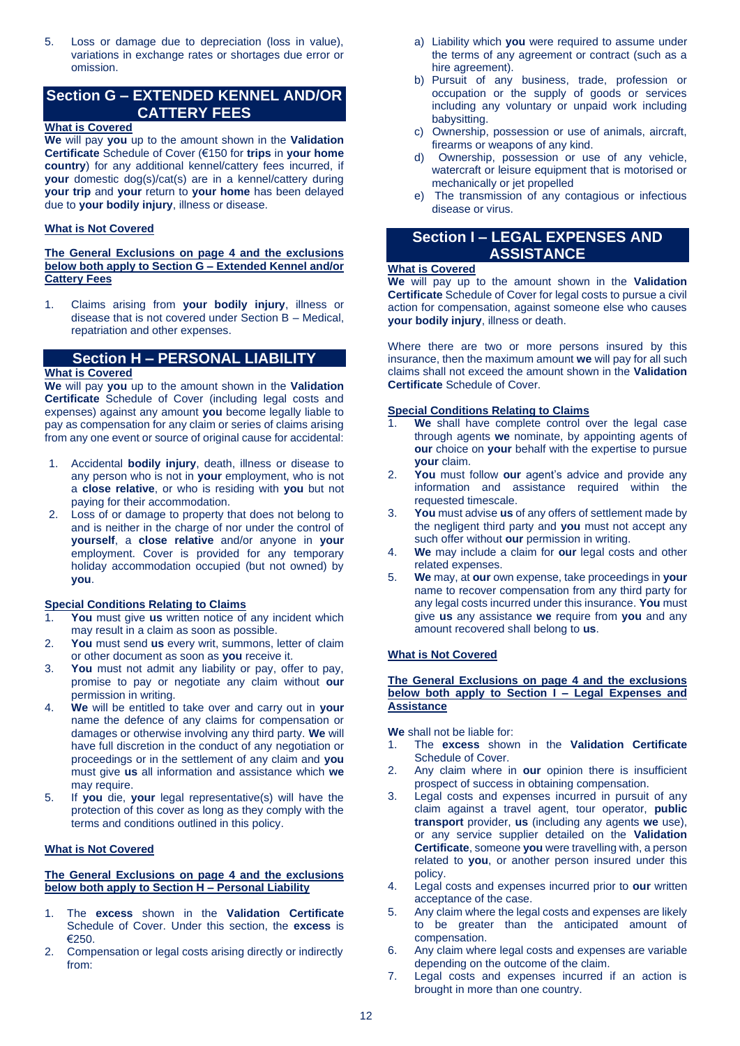5. Loss or damage due to depreciation (loss in value), variations in exchange rates or shortages due error or omission.

# **Section G – EXTENDED KENNEL AND/OR CATTERY FEES**

# **What is Covered**

**We** will pay **you** up to the amount shown in the **Validation Certificate** Schedule of Cover (€150 for **trips** in **your home country**) for any additional kennel/cattery fees incurred, if **your** domestic dog(s)/cat(s) are in a kennel/cattery during **your trip** and **your** return to **your home** has been delayed due to **your bodily injury**, illness or disease.

# **What is Not Covered**

# **The General Exclusions on page 4 and the exclusions below both apply to Section G – Extended Kennel and/or Cattery Fees**

1. Claims arising from **your bodily injury**, illness or disease that is not covered under Section B – Medical, repatriation and other expenses.

# **Section H – PERSONAL LIABILITY**

# **What is Covered**

**We** will pay **you** up to the amount shown in the **Validation Certificate** Schedule of Cover (including legal costs and expenses) against any amount **you** become legally liable to pay as compensation for any claim or series of claims arising from any one event or source of original cause for accidental:

- 1. Accidental **bodily injury**, death, illness or disease to any person who is not in **your** employment, who is not a **close relative**, or who is residing with **you** but not paying for their accommodation.
- 2. Loss of or damage to property that does not belong to and is neither in the charge of nor under the control of **yourself**, a **close relative** and/or anyone in **your**  employment. Cover is provided for any temporary holiday accommodation occupied (but not owned) by **you**.

# **Special Conditions Relating to Claims**

- 1. **You** must give **us** written notice of any incident which may result in a claim as soon as possible.
- 2. **You** must send **us** every writ, summons, letter of claim or other document as soon as **you** receive it.
- 3. **You** must not admit any liability or pay, offer to pay, promise to pay or negotiate any claim without **our**  permission in writing.
- 4. **We** will be entitled to take over and carry out in **your**  name the defence of any claims for compensation or damages or otherwise involving any third party. **We** will have full discretion in the conduct of any negotiation or proceedings or in the settlement of any claim and **you**  must give **us** all information and assistance which **we**  may require.
- 5. If **you** die, **your** legal representative(s) will have the protection of this cover as long as they comply with the terms and conditions outlined in this policy.

# **What is Not Covered**

# **The General Exclusions on page 4 and the exclusions below both apply to Section H – Personal Liability**

- 1. The **excess** shown in the **Validation Certificate** Schedule of Cover. Under this section, the **excess** is €250.
- 2. Compensation or legal costs arising directly or indirectly from:
- a) Liability which **you** were required to assume under the terms of any agreement or contract (such as a hire agreement).
- b) Pursuit of any business, trade, profession or occupation or the supply of goods or services including any voluntary or unpaid work including babysitting.
- c) Ownership, possession or use of animals, aircraft, firearms or weapons of any kind.
- d) Ownership, possession or use of any vehicle, watercraft or leisure equipment that is motorised or mechanically or jet propelled
- e) The transmission of any contagious or infectious disease or virus.

# **Section I – LEGAL EXPENSES AND ASSISTANCE**

# **What is Covered**

**We** will pay up to the amount shown in the **Validation Certificate** Schedule of Cover for legal costs to pursue a civil action for compensation, against someone else who causes **your bodily injury**, illness or death.

Where there are two or more persons insured by this insurance, then the maximum amount **we** will pay for all such claims shall not exceed the amount shown in the **Validation Certificate** Schedule of Cover.

# **Special Conditions Relating to Claims**

- 1. **We** shall have complete control over the legal case through agents **we** nominate, by appointing agents of **our** choice on **your** behalf with the expertise to pursue **your** claim.
- 2. **You** must follow **our** agent's advice and provide any information and assistance required within the requested timescale.
- 3. **You** must advise **us** of any offers of settlement made by the negligent third party and **you** must not accept any such offer without **our** permission in writing.
- 4. **We** may include a claim for **our** legal costs and other related expenses.
- 5. **We** may, at **our** own expense, take proceedings in **your**  name to recover compensation from any third party for any legal costs incurred under this insurance. **You** must give **us** any assistance **we** require from **you** and any amount recovered shall belong to **us**.

# **What is Not Covered**

### **The General Exclusions on page 4 and the exclusions below both apply to Section I – Legal Expenses and Assistance**

**We** shall not be liable for:

- 1. The **excess** shown in the **Validation Certificate** Schedule of Cover.
- 2. Any claim where in **our** opinion there is insufficient prospect of success in obtaining compensation.
- 3. Legal costs and expenses incurred in pursuit of any claim against a travel agent, tour operator, **public transport** provider, **us** (including any agents **we** use), or any service supplier detailed on the **Validation Certificate**, someone **you** were travelling with, a person related to **you**, or another person insured under this policy.
- 4. Legal costs and expenses incurred prior to **our** written acceptance of the case.
- 5. Any claim where the legal costs and expenses are likely to be greater than the anticipated amount of compensation.
- 6. Any claim where legal costs and expenses are variable depending on the outcome of the claim.
- 7. Legal costs and expenses incurred if an action is brought in more than one country.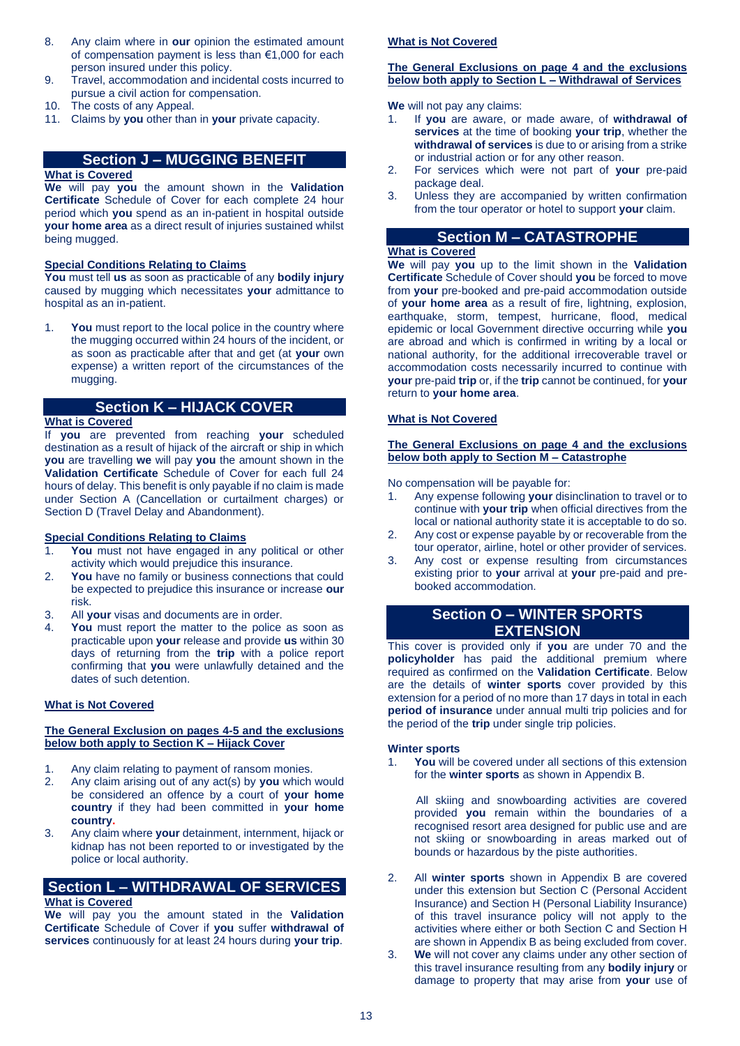- 8. Any claim where in **our** opinion the estimated amount of compensation payment is less than €1,000 for each person insured under this policy.
- 9. Travel, accommodation and incidental costs incurred to pursue a civil action for compensation.
- 10. The costs of any Appeal.
- 11. Claims by **you** other than in **your** private capacity.

# **Section J – MUGGING BENEFIT**

# **What is Covered**

**We** will pay **you** the amount shown in the **Validation Certificate** Schedule of Cover for each complete 24 hour period which **you** spend as an in-patient in hospital outside **your home area** as a direct result of injuries sustained whilst being mugged.

# **Special Conditions Relating to Claims**

**You** must tell **us** as soon as practicable of any **bodily injury** caused by mugging which necessitates **your** admittance to hospital as an in-patient.

**You** must report to the local police in the country where the mugging occurred within 24 hours of the incident, or as soon as practicable after that and get (at **your** own expense) a written report of the circumstances of the mugging.

# **Section K – HIJACK COVER**

# **What is Covered**

If **you** are prevented from reaching **your** scheduled destination as a result of hijack of the aircraft or ship in which **you** are travelling **we** will pay **you** the amount shown in the **Validation Certificate** Schedule of Cover for each full 24 hours of delay. This benefit is only payable if no claim is made under Section A (Cancellation or curtailment charges) or Section D (Travel Delay and Abandonment).

# **Special Conditions Relating to Claims**

- 1. **You** must not have engaged in any political or other activity which would prejudice this insurance.
- 2. **You** have no family or business connections that could be expected to prejudice this insurance or increase **our** risk.
- 3. All **your** visas and documents are in order.
- 4. **You** must report the matter to the police as soon as practicable upon **your** release and provide **us** within 30 days of returning from the **trip** with a police report confirming that **you** were unlawfully detained and the dates of such detention.

# **What is Not Covered**

### **The General Exclusion on pages 4-5 and the exclusions below both apply to Section K – Hijack Cover**

- 1. Any claim relating to payment of ransom monies.
- 2. Any claim arising out of any act(s) by **you** which would be considered an offence by a court of **your home country** if they had been committed in **your home country.**
- 3. Any claim where **your** detainment, internment, hijack or kidnap has not been reported to or investigated by the police or local authority.

# **Section L – WITHDRAWAL OF SERVICES**

# **What is Covered**

**We** will pay you the amount stated in the **Validation Certificate** Schedule of Cover if **you** suffer **withdrawal of services** continuously for at least 24 hours during **your trip**.

# **What is Not Covered**

### **The General Exclusions on page 4 and the exclusions below both apply to Section L – Withdrawal of Services**

**We** will not pay any claims:

- 1. If **you** are aware, or made aware, of **withdrawal of services** at the time of booking **your trip**, whether the **withdrawal of services** is due to or arising from a strike or industrial action or for any other reason.
- 2. For services which were not part of **your** pre-paid package deal.
- 3. Unless they are accompanied by written confirmation from the tour operator or hotel to support **your** claim.

# **Section M – CATASTROPHE**

# **What is Covered**

**We** will pay **you** up to the limit shown in the **Validation Certificate** Schedule of Cover should **you** be forced to move from **your** pre-booked and pre-paid accommodation outside of **your home area** as a result of fire, lightning, explosion, earthquake, storm, tempest, hurricane, flood, medical epidemic or local Government directive occurring while **you**  are abroad and which is confirmed in writing by a local or national authority, for the additional irrecoverable travel or accommodation costs necessarily incurred to continue with **your** pre-paid **trip** or, if the **trip** cannot be continued, for **your** return to **your home area**.

# **What is Not Covered**

#### **The General Exclusions on page 4 and the exclusions below both apply to Section M – Catastrophe**

No compensation will be payable for:

- 1. Any expense following **your** disinclination to travel or to continue with **your trip** when official directives from the local or national authority state it is acceptable to do so.
- 2. Any cost or expense payable by or recoverable from the tour operator, airline, hotel or other provider of services.
- 3. Any cost or expense resulting from circumstances existing prior to **your** arrival at **your** pre-paid and prebooked accommodation.

# **Section O – WINTER SPORTS EXTENSION**

This cover is provided only if **you** are under 70 and the **policyholder** has paid the additional premium where required as confirmed on the **Validation Certificate**. Below are the details of **winter sports** cover provided by this extension for a period of no more than 17 days in total in each **period of insurance** under annual multi trip policies and for the period of the **trip** under single trip policies.

# **Winter sports**

1. **You** will be covered under all sections of this extension for the **winter sports** as shown in Appendix B.

 All skiing and snowboarding activities are covered provided **you** remain within the boundaries of a recognised resort area designed for public use and are not skiing or snowboarding in areas marked out of bounds or hazardous by the piste authorities.

- 2. All **winter sports** shown in Appendix B are covered under this extension but Section C (Personal Accident Insurance) and Section H (Personal Liability Insurance) of this travel insurance policy will not apply to the activities where either or both Section C and Section H are shown in Appendix B as being excluded from cover.
- 3. **We** will not cover any claims under any other section of this travel insurance resulting from any **bodily injury** or damage to property that may arise from **your** use of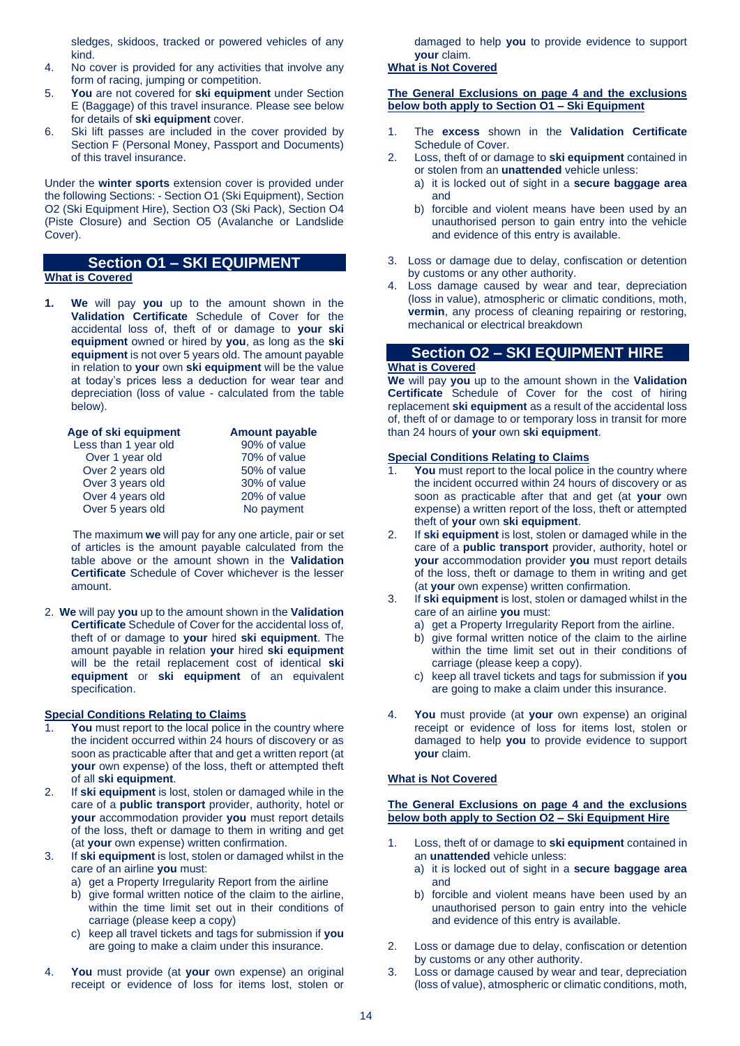sledges, skidoos, tracked or powered vehicles of any kind.

- 4. No cover is provided for any activities that involve any form of racing, jumping or competition.
- 5. **You** are not covered for **ski equipment** under Section E (Baggage) of this travel insurance. Please see below for details of **ski equipment** cover.
- 6. Ski lift passes are included in the cover provided by Section F (Personal Money, Passport and Documents) of this travel insurance.

Under the **winter sports** extension cover is provided under the following Sections: - Section O1 (Ski Equipment), Section O2 (Ski Equipment Hire), Section O3 (Ski Pack), Section O4 (Piste Closure) and Section O5 (Avalanche or Landslide Cover).

# **Section O1 – SKI EQUIPMENT What is Covered**

**1. We** will pay **you** up to the amount shown in the **Validation Certificate** Schedule of Cover for the accidental loss of, theft of or damage to **your ski equipment** owned or hired by **you**, as long as the **ski equipment** is not over 5 years old. The amount payable in relation to **your** own **ski equipment** will be the value at today's prices less a deduction for wear tear and depreciation (loss of value - calculated from the table below).

| Age of ski equipment | <b>Amount payable</b> |
|----------------------|-----------------------|
| Less than 1 year old | 90% of value          |
| Over 1 year old      | 70% of value          |
| Over 2 years old     | 50% of value          |
| Over 3 years old     | 30% of value          |
| Over 4 years old     | 20% of value          |
| Over 5 years old     | No payment            |
|                      |                       |

 The maximum **we** will pay for any one article, pair or set of articles is the amount payable calculated from the table above or the amount shown in the **Validation Certificate** Schedule of Cover whichever is the lesser amount.

2. **We** will pay **you** up to the amount shown in the **Validation Certificate** Schedule of Cover for the accidental loss of, theft of or damage to **your** hired **ski equipment**. The amount payable in relation **your** hired **ski equipment** will be the retail replacement cost of identical **ski equipment** or **ski equipment** of an equivalent specification.

# **Special Conditions Relating to Claims**

- You must report to the local police in the country where the incident occurred within 24 hours of discovery or as soon as practicable after that and get a written report (at **your** own expense) of the loss, theft or attempted theft of all **ski equipment**.
- 2. If **ski equipment** is lost, stolen or damaged while in the care of a **public transport** provider, authority, hotel or **your** accommodation provider **you** must report details of the loss, theft or damage to them in writing and get (at **your** own expense) written confirmation.
- 3. If **ski equipment** is lost, stolen or damaged whilst in the care of an airline **you** must:
	- a) get a Property Irregularity Report from the airline
	- b) give formal written notice of the claim to the airline, within the time limit set out in their conditions of carriage (please keep a copy)
	- c) keep all travel tickets and tags for submission if **you**  are going to make a claim under this insurance.
- 4. **You** must provide (at **your** own expense) an original receipt or evidence of loss for items lost, stolen or

damaged to help **you** to provide evidence to support **your** claim.

# **What is Not Covered**

# **The General Exclusions on page 4 and the exclusions below both apply to Section O1 – Ski Equipment**

- 1. The **excess** shown in the **Validation Certificate** Schedule of Cover.
- 2. Loss, theft of or damage to **ski equipment** contained in or stolen from an **unattended** vehicle unless:
	- a) it is locked out of sight in a **secure baggage area**  and
	- b) forcible and violent means have been used by an unauthorised person to gain entry into the vehicle and evidence of this entry is available.
- 3. Loss or damage due to delay, confiscation or detention by customs or any other authority.
- 4. Loss damage caused by wear and tear, depreciation (loss in value), atmospheric or climatic conditions, moth, **vermin**, any process of cleaning repairing or restoring, mechanical or electrical breakdown

# **Section O2 – SKI EQUIPMENT HIRE**

# **What is Covered**

**We** will pay **you** up to the amount shown in the **Validation Certificate** Schedule of Cover for the cost of hiring replacement **ski equipment** as a result of the accidental loss of, theft of or damage to or temporary loss in transit for more than 24 hours of **your** own **ski equipment**.

# **Special Conditions Relating to Claims**

- You must report to the local police in the country where the incident occurred within 24 hours of discovery or as soon as practicable after that and get (at **your** own expense) a written report of the loss, theft or attempted theft of **your** own **ski equipment**.
- 2. If **ski equipment** is lost, stolen or damaged while in the care of a **public transport** provider, authority, hotel or **your** accommodation provider **you** must report details of the loss, theft or damage to them in writing and get (at **your** own expense) written confirmation.
- 3. If **ski equipment** is lost, stolen or damaged whilst in the care of an airline **you** must:
	- a) get a Property Irregularity Report from the airline.
	- b) give formal written notice of the claim to the airline within the time limit set out in their conditions of carriage (please keep a copy).
	- c) keep all travel tickets and tags for submission if **you**  are going to make a claim under this insurance.
- 4. **You** must provide (at **your** own expense) an original receipt or evidence of loss for items lost, stolen or damaged to help **you** to provide evidence to support **your** claim.

# **What is Not Covered**

# **The General Exclusions on page 4 and the exclusions below both apply to Section O2 – Ski Equipment Hire**

- 1. Loss, theft of or damage to **ski equipment** contained in an **unattended** vehicle unless:
	- a) it is locked out of sight in a **secure baggage area**  and
	- b) forcible and violent means have been used by an unauthorised person to gain entry into the vehicle and evidence of this entry is available.
- 2. Loss or damage due to delay, confiscation or detention by customs or any other authority.
- 3. Loss or damage caused by wear and tear, depreciation (loss of value), atmospheric or climatic conditions, moth,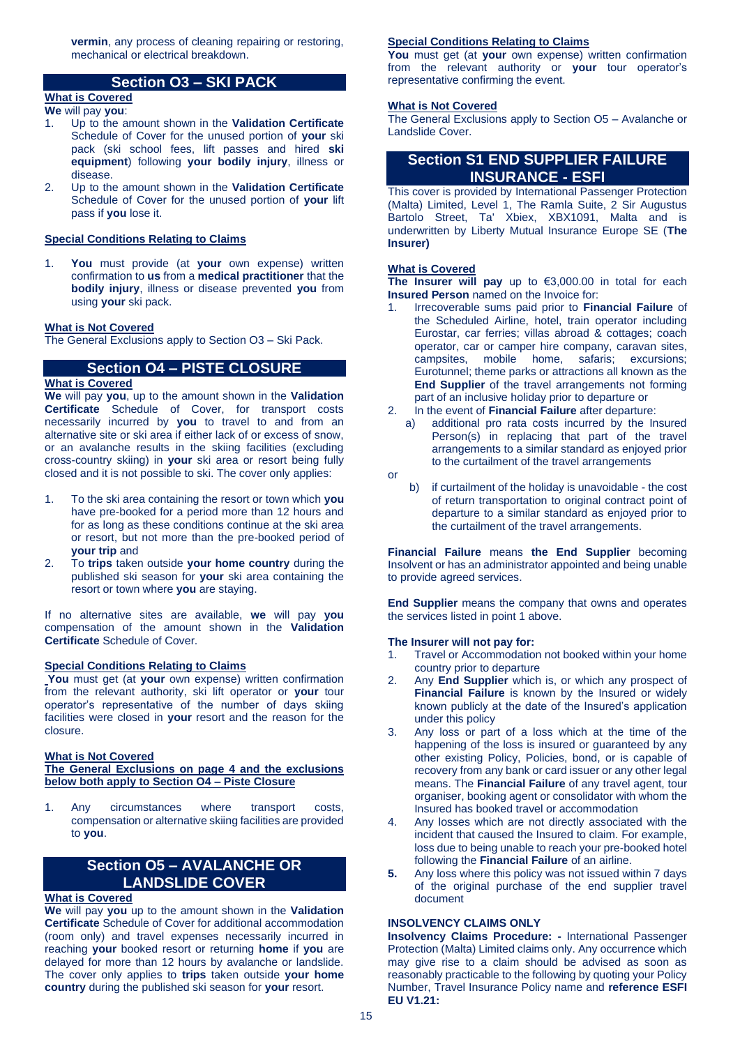**vermin**, any process of cleaning repairing or restoring, mechanical or electrical breakdown.

# **Section O3 – SKI PACK**

#### **What is Covered We** will pay **you**:

- 1. Up to the amount shown in the **Validation Certificate** Schedule of Cover for the unused portion of **your** ski pack (ski school fees, lift passes and hired **ski equipment**) following **your bodily injury**, illness or disease.
- 2. Up to the amount shown in the **Validation Certificate** Schedule of Cover for the unused portion of **your** lift pass if **you** lose it.

# **Special Conditions Relating to Claims**

1. **You** must provide (at **your** own expense) written confirmation to **us** from a **medical practitioner** that the **bodily injury**, illness or disease prevented **you** from using **your** ski pack.

#### **What is Not Covered**

The General Exclusions apply to Section O3 – Ski Pack.

# **Section O4 – PISTE CLOSURE**

#### **What is Covered**

**We** will pay **you**, up to the amount shown in the **Validation Certificate** Schedule of Cover, for transport costs necessarily incurred by **you** to travel to and from an alternative site or ski area if either lack of or excess of snow, or an avalanche results in the skiing facilities (excluding cross-country skiing) in **your** ski area or resort being fully closed and it is not possible to ski. The cover only applies:

- 1. To the ski area containing the resort or town which **you**  have pre-booked for a period more than 12 hours and for as long as these conditions continue at the ski area or resort, but not more than the pre-booked period of **your trip** and
- 2. To **trips** taken outside **your home country** during the published ski season for **your** ski area containing the resort or town where **you** are staying.

If no alternative sites are available, **we** will pay **you**  compensation of the amount shown in the **Validation Certificate** Schedule of Cover.

# **Special Conditions Relating to Claims**

You must get (at your own expense) written confirmation from the relevant authority, ski lift operator or **your** tour operator's representative of the number of days skiing facilities were closed in **your** resort and the reason for the closure.

#### **What is Not Covered**

# **The General Exclusions on page 4 and the exclusions below both apply to Section O4 – Piste Closure**

1. Any circumstances where transport costs, compensation or alternative skiing facilities are provided to **you**.

# **Section O5 – AVALANCHE OR LANDSLIDE COVER**

# **What is Covered**

**We** will pay **you** up to the amount shown in the **Validation Certificate** Schedule of Cover for additional accommodation (room only) and travel expenses necessarily incurred in reaching **your** booked resort or returning **home** if **you** are delayed for more than 12 hours by avalanche or landslide. The cover only applies to **trips** taken outside **your home country** during the published ski season for **your** resort.

#### **Special Conditions Relating to Claims**

**You** must get (at **your** own expense) written confirmation from the relevant authority or **your** tour operator's representative confirming the event.

# **What is Not Covered**

The General Exclusions apply to Section O5 – Avalanche or Landslide Cover.

# **Section S1 END SUPPLIER FAILURE INSURANCE - ESFI**

This cover is provided by International Passenger Protection (Malta) Limited, Level 1, The Ramla Suite, 2 Sir Augustus Bartolo Street, Ta' Xbiex, XBX1091, Malta and is underwritten by Liberty Mutual Insurance Europe SE (**The Insurer)**

### **What is Covered**

**The Insurer will pay** up to €3,000.00 in total for each **Insured Person** named on the Invoice for:

- 1. Irrecoverable sums paid prior to **Financial Failure** of the Scheduled Airline, hotel, train operator including Eurostar, car ferries; villas abroad & cottages; coach operator, car or camper hire company, caravan sites, campsites, mobile home, safaris; excursions; Eurotunnel; theme parks or attractions all known as the **End Supplier** of the travel arrangements not forming part of an inclusive holiday prior to departure or
- 2. In the event of **Financial Failure** after departure:
	- a) additional pro rata costs incurred by the Insured Person(s) in replacing that part of the travel arrangements to a similar standard as enjoyed prior to the curtailment of the travel arrangements
- or
- b) if curtailment of the holiday is unavoidable the cost of return transportation to original contract point of departure to a similar standard as enjoyed prior to the curtailment of the travel arrangements.

**Financial Failure** means **the End Supplier** becoming Insolvent or has an administrator appointed and being unable to provide agreed services.

**End Supplier** means the company that owns and operates the services listed in point 1 above.

### **The Insurer will not pay for:**

- 1. Travel or Accommodation not booked within your home country prior to departure
- 2. Any **End Supplier** which is, or which any prospect of **Financial Failure** is known by the Insured or widely known publicly at the date of the Insured's application under this policy
- 3. Any loss or part of a loss which at the time of the happening of the loss is insured or guaranteed by any other existing Policy, Policies, bond, or is capable of recovery from any bank or card issuer or any other legal means. The **Financial Failure** of any travel agent, tour organiser, booking agent or consolidator with whom the Insured has booked travel or accommodation
- 4. Any losses which are not directly associated with the incident that caused the Insured to claim. For example, loss due to being unable to reach your pre-booked hotel following the **Financial Failure** of an airline.
- **5.** Any loss where this policy was not issued within 7 days of the original purchase of the end supplier travel document

#### **INSOLVENCY CLAIMS ONLY**

**Insolvency Claims Procedure: -** International Passenger Protection (Malta) Limited claims only. Any occurrence which may give rise to a claim should be advised as soon as reasonably practicable to the following by quoting your Policy Number, Travel Insurance Policy name and **reference ESFI EU V1.21:**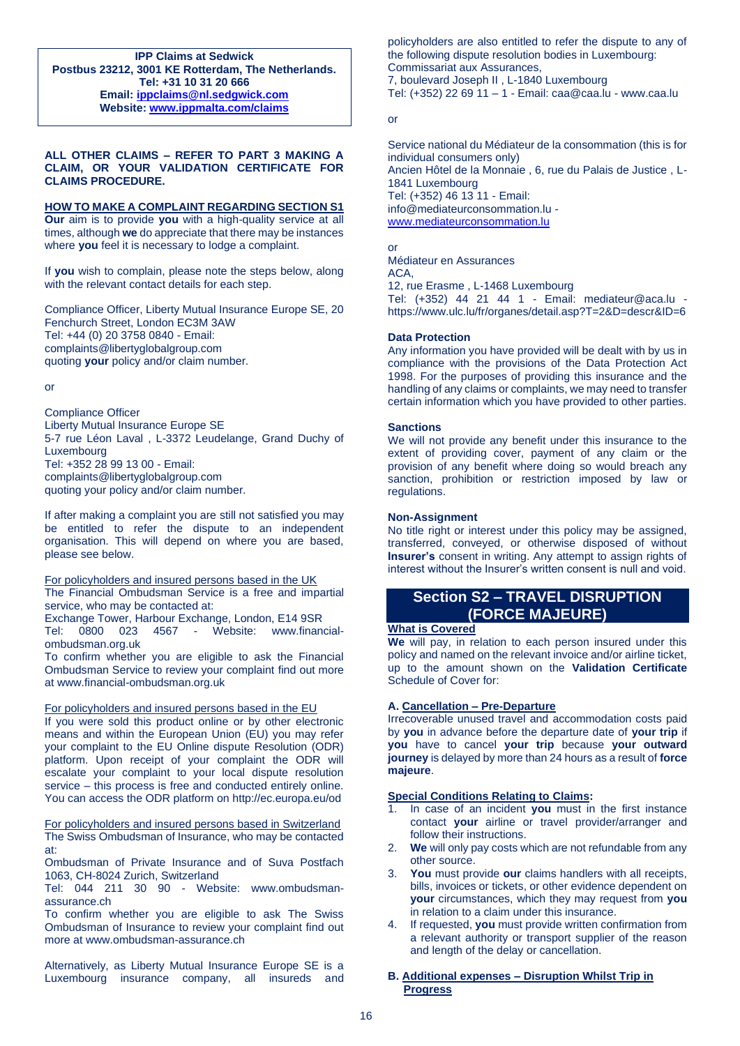**IPP Claims at Sedwick Postbus 23212, 3001 KE Rotterdam, The Netherlands. Tel: +31 10 31 20 666 Email: [ippclaims@nl.sedgwick.com](mailto:ippclaims@nl.sedgwick.com) Website: [www.ippmalta.com/claims](http://www.ippmalta.com/claims)**

# **ALL OTHER CLAIMS – REFER TO PART 3 MAKING A CLAIM, OR YOUR VALIDATION CERTIFICATE FOR CLAIMS PROCEDURE.**

#### **HOW TO MAKE A COMPLAINT REGARDING SECTION S1**

**Our** aim is to provide **you** with a high-quality service at all times, although **we** do appreciate that there may be instances where **you** feel it is necessary to lodge a complaint.

If **you** wish to complain, please note the steps below, along with the relevant contact details for each step.

Compliance Officer, Liberty Mutual Insurance Europe SE, 20 Fenchurch Street, London EC3M 3AW Tel: +44 (0) 20 3758 0840 - Email: complaints@libertyglobalgroup.com quoting **your** policy and/or claim number.

or

Compliance Officer Liberty Mutual Insurance Europe SE 5-7 rue Léon Laval , L-3372 Leudelange, Grand Duchy of Luxembourg Tel: +352 28 99 13 00 - Email: complaints@libertyglobalgroup.com quoting your policy and/or claim number.

If after making a complaint you are still not satisfied you may be entitled to refer the dispute to an independent organisation. This will depend on where you are based, please see below.

For policyholders and insured persons based in the UK The Financial Ombudsman Service is a free and impartial service, who may be contacted at:

Exchange Tower, Harbour Exchange, London, E14 9SR Tel: 0800 023 4567 - Website: www.financialombudsman.org.uk

To confirm whether you are eligible to ask the Financial Ombudsman Service to review your complaint find out more at www.financial-ombudsman.org.uk

#### For policyholders and insured persons based in the EU

If you were sold this product online or by other electronic means and within the European Union (EU) you may refer your complaint to the EU Online dispute Resolution (ODR) platform. Upon receipt of your complaint the ODR will escalate your complaint to your local dispute resolution service – this process is free and conducted entirely online. You can access the ODR platform on http://ec.europa.eu/od

For policyholders and insured persons based in Switzerland The Swiss Ombudsman of Insurance, who may be contacted at:

Ombudsman of Private Insurance and of Suva Postfach 1063, CH-8024 Zurich, Switzerland

Tel: 044 211 30 90 - Website: www.ombudsmanassurance.ch

To confirm whether you are eligible to ask The Swiss Ombudsman of Insurance to review your complaint find out more at www.ombudsman-assurance.ch

Alternatively, as Liberty Mutual Insurance Europe SE is a Luxembourg insurance company, all insureds and

policyholders are also entitled to refer the dispute to any of the following dispute resolution bodies in Luxembourg: Commissariat aux Assurances, 7, boulevard Joseph II , L-1840 Luxembourg Tel: (+352) 22 69 11 – 1 - Email: caa@caa.lu - www.caa.lu

or

Service national du Médiateur de la consommation (this is for individual consumers only) Ancien Hôtel de la Monnaie , 6, rue du Palais de Justice , L-1841 Luxembourg Tel: (+352) 46 13 11 - Email: info@mediateurconsommation.lu [www.mediateurconsommation.lu](http://www.mediateurconsommation.lu/)

or

Médiateur en Assurances ACA,

12, rue Erasme , L-1468 Luxembourg

Tel: (+352) 44 21 44 1 - Email: mediateur@aca.lu https://www.ulc.lu/fr/organes/detail.asp?T=2&D=descr&ID=6

#### **Data Protection**

Any information you have provided will be dealt with by us in compliance with the provisions of the Data Protection Act 1998. For the purposes of providing this insurance and the handling of any claims or complaints, we may need to transfer certain information which you have provided to other parties.

#### **Sanctions**

We will not provide any benefit under this insurance to the extent of providing cover, payment of any claim or the provision of any benefit where doing so would breach any sanction, prohibition or restriction imposed by law or regulations.

#### **Non-Assignment**

No title right or interest under this policy may be assigned, transferred, conveyed, or otherwise disposed of without **Insurer's** consent in writing. Any attempt to assign rights of interest without the Insurer's written consent is null and void.

# **Section S2 – TRAVEL DISRUPTION (FORCE MAJEURE)**

#### **What is Covered**

**We** will pay, in relation to each person insured under this policy and named on the relevant invoice and/or airline ticket, up to the amount shown on the **Validation Certificate** Schedule of Cover for:

#### **A. Cancellation – Pre-Departure**

Irrecoverable unused travel and accommodation costs paid by **you** in advance before the departure date of **your trip** if **you** have to cancel **your trip** because **your outward journey** is delayed by more than 24 hours as a result of **force majeure**.

#### **Special Conditions Relating to Claims:**

- 1. In case of an incident **you** must in the first instance contact **your** airline or travel provider/arranger and follow their instructions.
- 2. **We** will only pay costs which are not refundable from any other source.
- 3. **You** must provide **our** claims handlers with all receipts, bills, invoices or tickets, or other evidence dependent on **your** circumstances, which they may request from **you** in relation to a claim under this insurance.
- 4. If requested, **you** must provide written confirmation from a relevant authority or transport supplier of the reason and length of the delay or cancellation.
- **B. Additional expenses – Disruption Whilst Trip in Progress**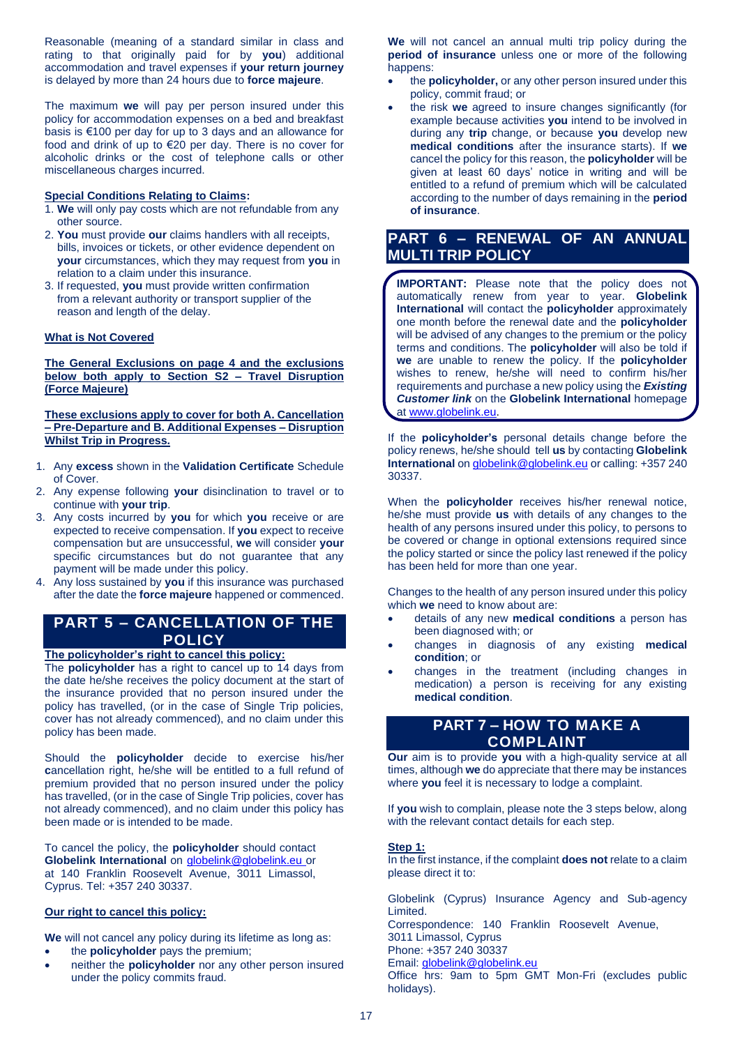Reasonable (meaning of a standard similar in class and rating to that originally paid for by **you**) additional accommodation and travel expenses if **your return journey**  is delayed by more than 24 hours due to **force majeure**.

The maximum **we** will pay per person insured under this policy for accommodation expenses on a bed and breakfast basis is €100 per day for up to 3 days and an allowance for food and drink of up to €20 per day. There is no cover for alcoholic drinks or the cost of telephone calls or other miscellaneous charges incurred.

# **Special Conditions Relating to Claims:**

- 1. **We** will only pay costs which are not refundable from any other source.
- 2. **You** must provide **our** claims handlers with all receipts, bills, invoices or tickets, or other evidence dependent on **your** circumstances, which they may request from **you** in relation to a claim under this insurance.
- 3. If requested, **you** must provide written confirmation from a relevant authority or transport supplier of the reason and length of the delay.

# **What is Not Covered**

**The General Exclusions on page 4 and the exclusions below both apply to Section S2 – Travel Disruption (Force Majeure)**

**These exclusions apply to cover for both A. Cancellation – Pre-Departure and B. Additional Expenses – Disruption Whilst Trip in Progress.** 

- 1. Any **excess** shown in the **Validation Certificate** Schedule of Cover.
- 2. Any expense following **your** disinclination to travel or to continue with **your trip**.
- 3. Any costs incurred by **you** for which **you** receive or are expected to receive compensation. If **you** expect to receive compensation but are unsuccessful, **we** will consider **your** specific circumstances but do not guarantee that any payment will be made under this policy.
- 4. Any loss sustained by **you** if this insurance was purchased after the date the **force majeure** happened or commenced.

# **PART 5 – CANCELLATION OF THE POLICY**

#### **The policyholder's right to cancel this policy:**

The **policyholder** has a right to cancel up to 14 days from the date he/she receives the policy document at the start of the insurance provided that no person insured under the policy has travelled, (or in the case of Single Trip policies, cover has not already commenced), and no claim under this policy has been made.

Should the **policyholder** decide to exercise his/her **c**ancellation right, he/she will be entitled to a full refund of premium provided that no person insured under the policy has travelled, (or in the case of Single Trip policies, cover has not already commenced), and no claim under this policy has been made or is intended to be made.

To cancel the policy, the **policyholder** should contact **Globelink International** on [globelink@globelink.eu](mailto:globelink@globelink.eu) or at 140 Franklin Roosevelt Avenue, 3011 Limassol, Cyprus. Tel: +357 240 30337.

# **Our right to cancel this policy:**

**We** will not cancel any policy during its lifetime as long as: • the **policyholder** pays the premium;

• neither the **policyholder** nor any other person insured under the policy commits fraud.

**We** will not cancel an annual multi trip policy during the **period of insurance** unless one or more of the following happens:

- the **policyholder,** or any other person insured under this policy, commit fraud; or
- the risk **we** agreed to insure changes significantly (for example because activities **you** intend to be involved in during any **trip** change, or because **you** develop new **medical conditions** after the insurance starts). If **we** cancel the policy for this reason, the **policyholder** will be given at least 60 days' notice in writing and will be entitled to a refund of premium which will be calculated according to the number of days remaining in the **period of insurance**.

# **PART 6 – RENEWAL OF AN ANNUAL MULTI TRIP POLICY**

**IMPORTANT:** Please note that the policy does not automatically renew from year to year. **Globelink International** will contact the **policyholder** approximately one month before the renewal date and the **policyholder**  will be advised of any changes to the premium or the policy terms and conditions. The **policyholder** will also be told if **we** are unable to renew the policy. If the **policyholder**  wishes to renew, he/she will need to confirm his/her requirements and purchase a new policy using the *Existing Customer link* on the **Globelink International** homepage at [www.globelink.eu.](http://www.globelink.eu/)

If the **policyholder's** personal details change before the policy renews, he/she should tell **us** by contacting **Globelink International** o[n globelink@globelink.eu](mailto:globelink@globelink.eu) or calling: +357 240 30337.

When the **policyholder** receives his/her renewal notice, he/she must provide **us** with details of any changes to the health of any persons insured under this policy, to persons to be covered or change in optional extensions required since the policy started or since the policy last renewed if the policy has been held for more than one year.

Changes to the health of any person insured under this policy which **we** need to know about are:

- details of any new **medical conditions** a person has been diagnosed with; or
- changes in diagnosis of any existing **medical condition**; or
- changes in the treatment (including changes in medication) a person is receiving for any existing **medical condition**.

# **PART 7 – HOW TO MAKE A COMPLAINT**

**Our** aim is to provide **you** with a high-quality service at all times, although **we** do appreciate that there may be instances where **you** feel it is necessary to lodge a complaint.

If **you** wish to complain, please note the 3 steps below, along with the relevant contact details for each step.

#### **Step 1:**

In the first instance, if the complaint **does not** relate to a claim please direct it to:

Globelink (Cyprus) Insurance Agency and Sub-agency Limited. Correspondence: 140 Franklin Roosevelt Avenue, 3011 Limassol, Cyprus Phone: +357 240 30337

Email[: globelink@globelink.eu](mailto:globelink@globelink.eu)

Office hrs: 9am to 5pm GMT Mon-Fri (excludes public holidays).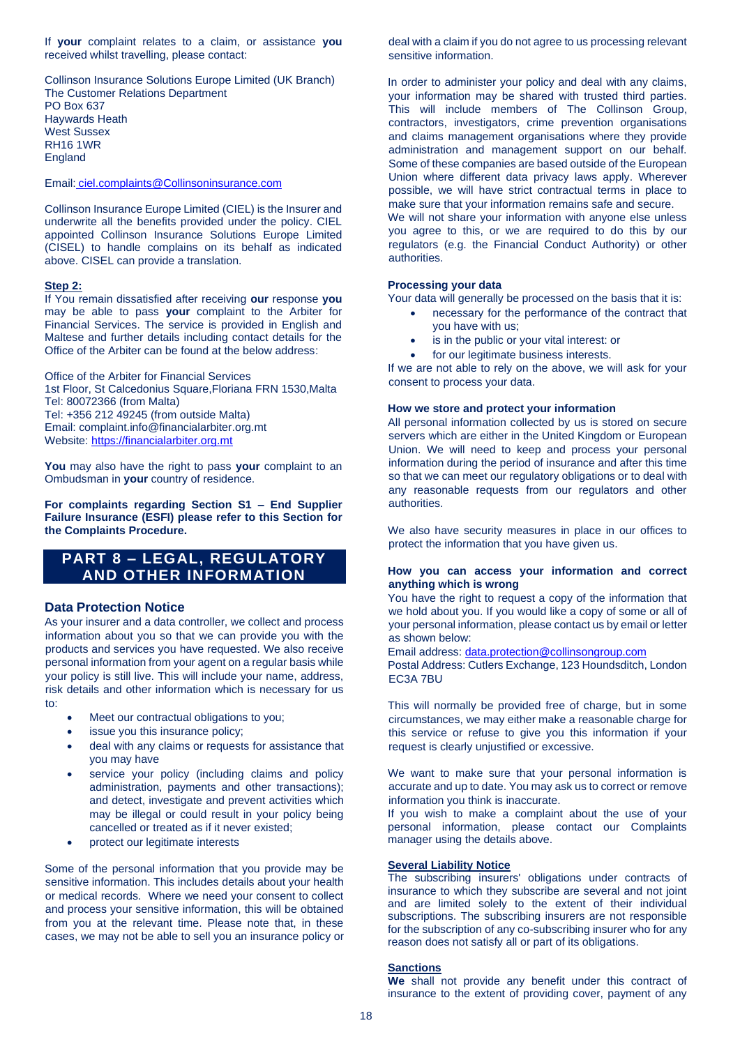If **your** complaint relates to a claim, or assistance **you** received whilst travelling, please contact:

Collinson Insurance Solutions Europe Limited (UK Branch) The Customer Relations Department PO Box 637 Haywards Heath West Sussex RH16 1WR England

Email: [ciel.complaints@Collinsoninsurance.com](mailto:ciel.complaints@Collinsoninsurance.com)

Collinson Insurance Europe Limited (CIEL) is the Insurer and underwrite all the benefits provided under the policy. CIEL appointed Collinson Insurance Solutions Europe Limited (CISEL) to handle complains on its behalf as indicated above. CISEL can provide a translation.

#### **Step 2:**

If You remain dissatisfied after receiving **our** response **you** may be able to pass **your** complaint to the Arbiter for Financial Services. The service is provided in English and Maltese and further details including contact details for the Office of the Arbiter can be found at the below address:

Office of the Arbiter for Financial Services 1st Floor, St Calcedonius Square,Floriana FRN 1530,Malta Tel: 80072366 (from Malta) Tel: +356 212 49245 (from outside Malta) Email: complaint.info@financialarbiter.org.mt Website[: https://financialarbiter.org.mt](https://financialarbiter.org.mt/)

**You** may also have the right to pass **your** complaint to an Ombudsman in **your** country of residence.

**For complaints regarding Section S1 – End Supplier Failure Insurance (ESFI) please refer to this Section for the Complaints Procedure.**

# **PART 8 – LEGAL, REGULATORY AND OTHER INFORMATION**

# **Data Protection Notice**

As your insurer and a data controller, we collect and process information about you so that we can provide you with the products and services you have requested. We also receive personal information from your agent on a regular basis while your policy is still live. This will include your name, address, risk details and other information which is necessary for us to:

- Meet our contractual obligations to you;
- issue you this insurance policy;
- deal with any claims or requests for assistance that you may have
- service your policy (including claims and policy administration, payments and other transactions); and detect, investigate and prevent activities which may be illegal or could result in your policy being cancelled or treated as if it never existed;
- protect our legitimate interests

Some of the personal information that you provide may be sensitive information. This includes details about your health or medical records. Where we need your consent to collect and process your sensitive information, this will be obtained from you at the relevant time. Please note that, in these cases, we may not be able to sell you an insurance policy or deal with a claim if you do not agree to us processing relevant sensitive information.

In order to administer your policy and deal with any claims, your information may be shared with trusted third parties. This will include members of The Collinson Group, contractors, investigators, crime prevention organisations and claims management organisations where they provide administration and management support on our behalf. Some of these companies are based outside of the European Union where different data privacy laws apply. Wherever possible, we will have strict contractual terms in place to make sure that your information remains safe and secure. We will not share your information with anyone else unless

you agree to this, or we are required to do this by our regulators (e.g. the Financial Conduct Authority) or other authorities.

# **Processing your data**

Your data will generally be processed on the basis that it is:

- necessary for the performance of the contract that you have with us;
- is in the public or your vital interest: or
- for our legitimate business interests.

If we are not able to rely on the above, we will ask for your consent to process your data.

#### **How we store and protect your information**

All personal information collected by us is stored on secure servers which are either in the United Kingdom or European Union. We will need to keep and process your personal information during the period of insurance and after this time so that we can meet our regulatory obligations or to deal with any reasonable requests from our regulators and other authorities.

We also have security measures in place in our offices to protect the information that you have given us.

# **How you can access your information and correct anything which is wrong**

You have the right to request a copy of the information that we hold about you. If you would like a copy of some or all of your personal information, please contact us by email or letter as shown below:

Email address: [data.protection@collinsongroup.com](mailto:data.protection@collinsongroup.com)

Postal Address: Cutlers Exchange, 123 Houndsditch, London EC3A 7BU

This will normally be provided free of charge, but in some circumstances, we may either make a reasonable charge for this service or refuse to give you this information if your request is clearly unjustified or excessive.

We want to make sure that your personal information is accurate and up to date. You may ask us to correct or remove information you think is inaccurate.

If you wish to make a complaint about the use of your personal information, please contact our Complaints manager using the details above.

# **Several Liability Notice**

The subscribing insurers' obligations under contracts of insurance to which they subscribe are several and not joint and are limited solely to the extent of their individual subscriptions. The subscribing insurers are not responsible for the subscription of any co-subscribing insurer who for any reason does not satisfy all or part of its obligations.

#### **Sanctions**

**We** shall not provide any benefit under this contract of insurance to the extent of providing cover, payment of any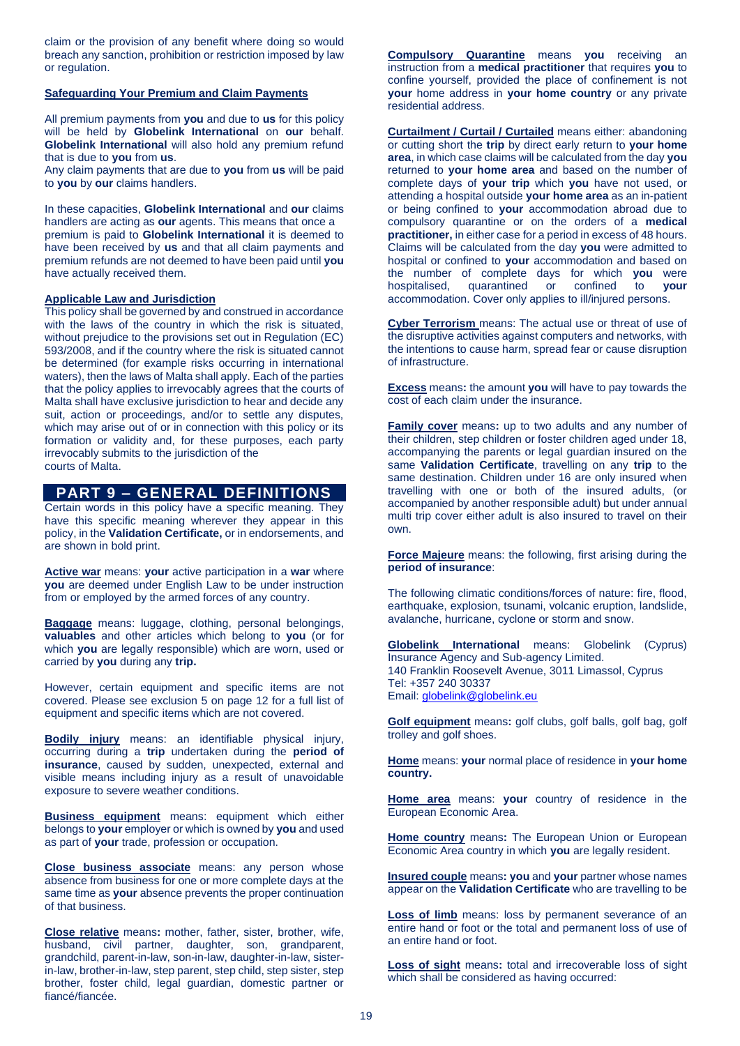claim or the provision of any benefit where doing so would breach any sanction, prohibition or restriction imposed by law or regulation.

### **Safeguarding Your Premium and Claim Payments**

All premium payments from **you** and due to **us** for this policy will be held by **Globelink International** on **our** behalf. **Globelink International** will also hold any premium refund that is due to **you** from **us**.

Any claim payments that are due to **you** from **us** will be paid to **you** by **our** claims handlers.

In these capacities, **Globelink International** and **our** claims handlers are acting as **our** agents. This means that once a premium is paid to **Globelink International** it is deemed to have been received by **us** and that all claim payments and premium refunds are not deemed to have been paid until **you** have actually received them.

# **Applicable Law and Jurisdiction**

This policy shall be governed by and construed in accordance with the laws of the country in which the risk is situated, without prejudice to the provisions set out in Regulation (EC) 593/2008, and if the country where the risk is situated cannot be determined (for example risks occurring in international waters), then the laws of Malta shall apply. Each of the parties that the policy applies to irrevocably agrees that the courts of Malta shall have exclusive jurisdiction to hear and decide any suit, action or proceedings, and/or to settle any disputes, which may arise out of or in connection with this policy or its formation or validity and, for these purposes, each party irrevocably submits to the jurisdiction of the courts of Malta.

# **PART 9 – GENERAL DEFINITIONS**

Certain words in this policy have a specific meaning. They have this specific meaning wherever they appear in this policy, in the **Validation Certificate,** or in endorsements, and are shown in bold print.

**Active war** means: **your** active participation in a **war** where **you** are deemed under English Law to be under instruction from or employed by the armed forces of any country.

**Baggage** means: luggage, clothing, personal belongings, **valuables** and other articles which belong to **you** (or for which **you** are legally responsible) which are worn, used or carried by **you** during any **trip.**

However, certain equipment and specific items are not covered. Please see exclusion 5 on page 12 for a full list of equipment and specific items which are not covered.

**Bodily injury** means: an identifiable physical injury, occurring during a **trip** undertaken during the **period of insurance**, caused by sudden, unexpected, external and visible means including injury as a result of unavoidable exposure to severe weather conditions.

**Business equipment** means: equipment which either belongs to **your** employer or which is owned by **you** and used as part of **your** trade, profession or occupation.

**Close business associate** means: any person whose absence from business for one or more complete days at the same time as **your** absence prevents the proper continuation of that business.

**Close relative** means**:** mother, father, sister, brother, wife, husband, civil partner, daughter, son, grandparent, grandchild, parent-in-law, son-in-law, daughter-in-law, sisterin-law, brother-in-law, step parent, step child, step sister, step brother, foster child, legal guardian, domestic partner or fiancé/fiancée.

**Compulsory Quarantine** means **you** receiving an instruction from a **medical practitioner** that requires **you** to confine yourself, provided the place of confinement is not **your** home address in **your home country** or any private residential address.

**Curtailment / Curtail / Curtailed** means either: abandoning or cutting short the **trip** by direct early return to **your home area**, in which case claims will be calculated from the day **you**  returned to **your home area** and based on the number of complete days of **your trip** which **you** have not used, or attending a hospital outside **your home area** as an in-patient or being confined to **your** accommodation abroad due to compulsory quarantine or on the orders of a **medical practitioner,** in either case for a period in excess of 48 hours. Claims will be calculated from the day **you** were admitted to hospital or confined to **your** accommodation and based on the number of complete days for which **you** were hospitalised, quarantined or confined to **your** accommodation. Cover only applies to ill/injured persons.

**Cyber Terrorism** means: The actual use or threat of use of the disruptive activities against computers and networks, with the intentions to cause harm, spread fear or cause disruption of infrastructure.

**Excess** means**:** the amount **you** will have to pay towards the cost of each claim under the insurance.

**Family cover** means**:** up to two adults and any number of their children, step children or foster children aged under 18, accompanying the parents or legal guardian insured on the same **Validation Certificate**, travelling on any **trip** to the same destination. Children under 16 are only insured when travelling with one or both of the insured adults, (or accompanied by another responsible adult) but under annual multi trip cover either adult is also insured to travel on their own.

**Force Majeure** means: the following, first arising during the **period of insurance**:

The following climatic conditions/forces of nature: fire, flood, earthquake, explosion, tsunami, volcanic eruption, landslide, avalanche, hurricane, cyclone or storm and snow.

**Globelink International** means: Globelink (Cyprus) Insurance Agency and Sub-agency Limited. 140 Franklin Roosevelt Avenue, 3011 Limassol, Cyprus Tel: +357 240 30337 Email[: globelink@globelink.eu](mailto:globelink@globelink.eu)

**Golf equipment** means**:** golf clubs, golf balls, golf bag, golf trolley and golf shoes.

**Home** means: **your** normal place of residence in **your home country.**

**Home area** means: **your** country of residence in the European Economic Area.

**Home country** means**:** The European Union or European Economic Area country in which **you** are legally resident.

**Insured couple** means**: you** and **your** partner whose names appear on the **Validation Certificate** who are travelling to be

**Loss of limb** means: loss by permanent severance of an entire hand or foot or the total and permanent loss of use of an entire hand or foot.

**Loss of sight** means**:** total and irrecoverable loss of sight which shall be considered as having occurred: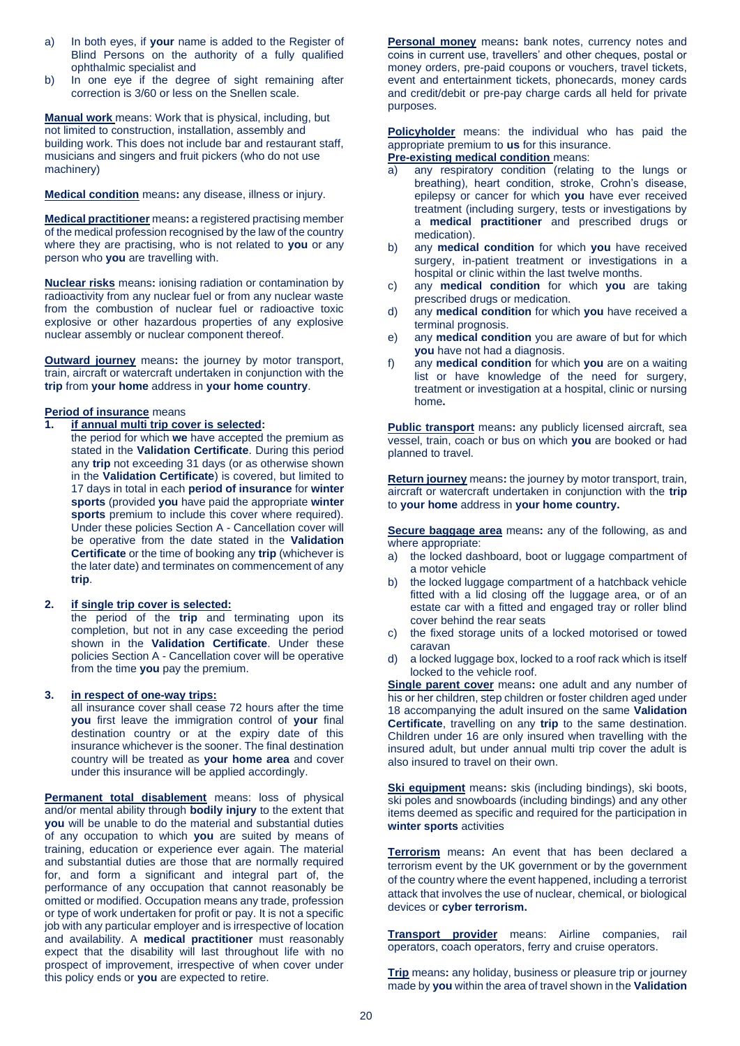- a) In both eyes, if **your** name is added to the Register of Blind Persons on the authority of a fully qualified ophthalmic specialist and
- b) In one eve if the degree of sight remaining after correction is 3/60 or less on the Snellen scale.

**Manual work** means: Work that is physical, including, but not limited to construction, installation, assembly and building work. This does not include bar and restaurant staff, musicians and singers and fruit pickers (who do not use machinery)

**Medical condition** means**:** any disease, illness or injury.

**Medical practitioner** means**:** a registered practising member of the medical profession recognised by the law of the country where they are practising, who is not related to **you** or any person who **you** are travelling with.

**Nuclear risks** means**:** ionising radiation or contamination by radioactivity from any nuclear fuel or from any nuclear waste from the combustion of nuclear fuel or radioactive toxic explosive or other hazardous properties of any explosive nuclear assembly or nuclear component thereof.

**Outward journey** means**:** the journey by motor transport, train, aircraft or watercraft undertaken in conjunction with the **trip** from **your home** address in **your home country**.

#### **Period of insurance** means

- **1. if annual multi trip cover is selected:** 
	- the period for which **we** have accepted the premium as stated in the **Validation Certificate**. During this period any **trip** not exceeding 31 days (or as otherwise shown in the **Validation Certificate**) is covered, but limited to 17 days in total in each **period of insurance** for **winter sports** (provided **you** have paid the appropriate **winter**  sports premium to include this cover where required). Under these policies Section A - Cancellation cover will be operative from the date stated in the **Validation Certificate** or the time of booking any **trip** (whichever is the later date) and terminates on commencement of any **trip**.

# **2. if single trip cover is selected:**

the period of the **trip** and terminating upon its completion, but not in any case exceeding the period shown in the **Validation Certificate**. Under these policies Section A - Cancellation cover will be operative from the time **you** pay the premium.

#### **3. in respect of one-way trips:**

all insurance cover shall cease 72 hours after the time **you** first leave the immigration control of **your** final destination country or at the expiry date of this insurance whichever is the sooner. The final destination country will be treated as **your home area** and cover under this insurance will be applied accordingly.

**Permanent total disablement** means: loss of physical and/or mental ability through **bodily injury** to the extent that **you** will be unable to do the material and substantial duties of any occupation to which **you** are suited by means of training, education or experience ever again. The material and substantial duties are those that are normally required for, and form a significant and integral part of, the performance of any occupation that cannot reasonably be omitted or modified. Occupation means any trade, profession or type of work undertaken for profit or pay. It is not a specific job with any particular employer and is irrespective of location and availability. A **medical practitioner** must reasonably expect that the disability will last throughout life with no prospect of improvement, irrespective of when cover under this policy ends or **you** are expected to retire.

**Personal money** means**:** bank notes, currency notes and coins in current use, travellers' and other cheques, postal or money orders, pre-paid coupons or vouchers, travel tickets, event and entertainment tickets, phonecards, money cards and credit/debit or pre-pay charge cards all held for private purposes.

**Policyholder** means: the individual who has paid the appropriate premium to **us** for this insurance. **Pre-existing medical condition** means:

- a) any respiratory condition (relating to the lungs or breathing), heart condition, stroke, Crohn's disease, epilepsy or cancer for which **you** have ever received treatment (including surgery, tests or investigations by a **medical practitioner** and prescribed drugs or medication).
- b) any **medical condition** for which **you** have received surgery, in-patient treatment or investigations in a hospital or clinic within the last twelve months.
- c) any **medical condition** for which **you** are taking prescribed drugs or medication.
- d) any **medical condition** for which **you** have received a terminal prognosis.
- e) any **medical condition** you are aware of but for which **you** have not had a diagnosis.
- f) any **medical condition** for which **you** are on a waiting list or have knowledge of the need for surgery, treatment or investigation at a hospital, clinic or nursing home**.**

**Public transport** means: any publicly licensed aircraft, sea vessel, train, coach or bus on which **you** are booked or had planned to travel.

**Return journey** means**:** the journey by motor transport, train, aircraft or watercraft undertaken in conjunction with the **trip** to **your home** address in **your home country.**

**Secure baggage area** means**:** any of the following, as and where appropriate:

- a) the locked dashboard, boot or luggage compartment of a motor vehicle
- the locked luggage compartment of a hatchback vehicle fitted with a lid closing off the luggage area, or of an estate car with a fitted and engaged tray or roller blind cover behind the rear seats
- c) the fixed storage units of a locked motorised or towed caravan
- d) a locked luggage box, locked to a roof rack which is itself locked to the vehicle roof.

**Single parent cover** means**:** one adult and any number of his or her children, step children or foster children aged under 18 accompanying the adult insured on the same **Validation Certificate**, travelling on any **trip** to the same destination. Children under 16 are only insured when travelling with the insured adult, but under annual multi trip cover the adult is also insured to travel on their own.

**Ski equipment** means**:** skis (including bindings), ski boots, ski poles and snowboards (including bindings) and any other items deemed as specific and required for the participation in **winter sports** activities

**Terrorism** means**:** An event that has been declared a terrorism event by the UK government or by the government of the country where the event happened, including a terrorist attack that involves the use of nuclear, chemical, or biological devices or **cyber terrorism.**

**Transport provider** means: Airline companies, rail operators, coach operators, ferry and cruise operators.

**Trip** means**:** any holiday, business or pleasure trip or journey made by **you** within the area of travel shown in the **Validation**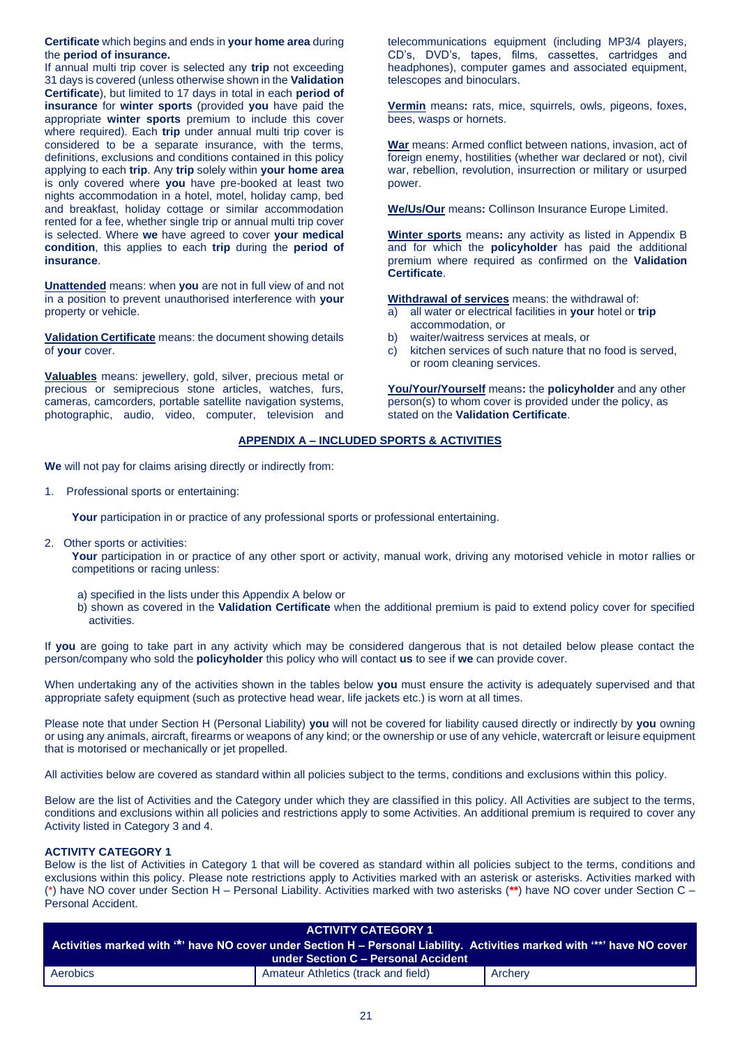**Certificate** which begins and ends in **your home area** during the **period of insurance.** 

If annual multi trip cover is selected any **trip** not exceeding 31 days is covered (unless otherwise shown in the **Validation Certificate**), but limited to 17 days in total in each **period of insurance** for **winter sports** (provided **you** have paid the appropriate **winter sports** premium to include this cover where required). Each **trip** under annual multi trip cover is considered to be a separate insurance, with the terms, definitions, exclusions and conditions contained in this policy applying to each **trip**. Any **trip** solely within **your home area** is only covered where **you** have pre-booked at least two nights accommodation in a hotel, motel, holiday camp, bed and breakfast, holiday cottage or similar accommodation rented for a fee, whether single trip or annual multi trip cover is selected. Where **we** have agreed to cover **your medical condition**, this applies to each **trip** during the **period of insurance**.

**Unattended** means: when **you** are not in full view of and not in a position to prevent unauthorised interference with **your**  property or vehicle.

**Validation Certificate** means: the document showing details of **your** cover.

**Valuables** means: jewellery, gold, silver, precious metal or precious or semiprecious stone articles, watches, furs, cameras, camcorders, portable satellite navigation systems, photographic, audio, video, computer, television and

telecommunications equipment (including MP3/4 players, CD's, DVD's, tapes, films, cassettes, cartridges and headphones), computer games and associated equipment, telescopes and binoculars.

**Vermin** means**:** rats, mice, squirrels, owls, pigeons, foxes, bees, wasps or hornets.

**War** means: Armed conflict between nations, invasion, act of foreign enemy, hostilities (whether war declared or not), civil war, rebellion, revolution, insurrection or military or usurped power.

**We/Us/Our** means**:** Collinson Insurance Europe Limited.

**Winter sports** means**:** any activity as listed in Appendix B and for which the **policyholder** has paid the additional premium where required as confirmed on the **Validation Certificate**.

**Withdrawal of services** means: the withdrawal of:

- a) all water or electrical facilities in **your** hotel or **trip** accommodation, or
- b) waiter/waitress services at meals, or
- c) kitchen services of such nature that no food is served, or room cleaning services.

**You/Your/Yourself** means**:** the **policyholder** and any other person(s) to whom cover is provided under the policy, as stated on the **Validation Certificate**.

# **APPENDIX A – INCLUDED SPORTS & ACTIVITIES**

**We** will not pay for claims arising directly or indirectly from:

1. Professional sports or entertaining:

Your participation in or practice of any professional sports or professional entertaining.

2. Other sports or activities:

Your participation in or practice of any other sport or activity, manual work, driving any motorised vehicle in motor rallies or competitions or racing unless:

- a) specified in the lists under this Appendix A below or
- b) shown as covered in the **Validation Certificate** when the additional premium is paid to extend policy cover for specified activities.

If **you** are going to take part in any activity which may be considered dangerous that is not detailed below please contact the person/company who sold the **policyholder** this policy who will contact **us** to see if **we** can provide cover.

When undertaking any of the activities shown in the tables below **you** must ensure the activity is adequately supervised and that appropriate safety equipment (such as protective head wear, life jackets etc.) is worn at all times.

Please note that under Section H (Personal Liability) **you** will not be covered for liability caused directly or indirectly by **you** owning or using any animals, aircraft, firearms or weapons of any kind; or the ownership or use of any vehicle, watercraft or leisure equipment that is motorised or mechanically or jet propelled.

All activities below are covered as standard within all policies subject to the terms, conditions and exclusions within this policy.

Below are the list of Activities and the Category under which they are classified in this policy. All Activities are subject to the terms, conditions and exclusions within all policies and restrictions apply to some Activities. An additional premium is required to cover any Activity listed in Category 3 and 4.

# **ACTIVITY CATEGORY 1**

Below is the list of Activities in Category 1 that will be covered as standard within all policies subject to the terms, conditions and exclusions within this policy. Please note restrictions apply to Activities marked with an asterisk or asterisks. Activities marked with (\*) have NO cover under Section H – Personal Liability. Activities marked with two asterisks (**\*\***) have NO cover under Section C – Personal Accident.

| <b>ACTIVITY CATEGORY 1</b><br>Activities marked with "*' have NO cover under Section H - Personal Liability. Activities marked with "*" have NO cover<br>under Section C - Personal Accident |                                     |         |  |
|----------------------------------------------------------------------------------------------------------------------------------------------------------------------------------------------|-------------------------------------|---------|--|
| Aerobics                                                                                                                                                                                     | Amateur Athletics (track and field) | Archery |  |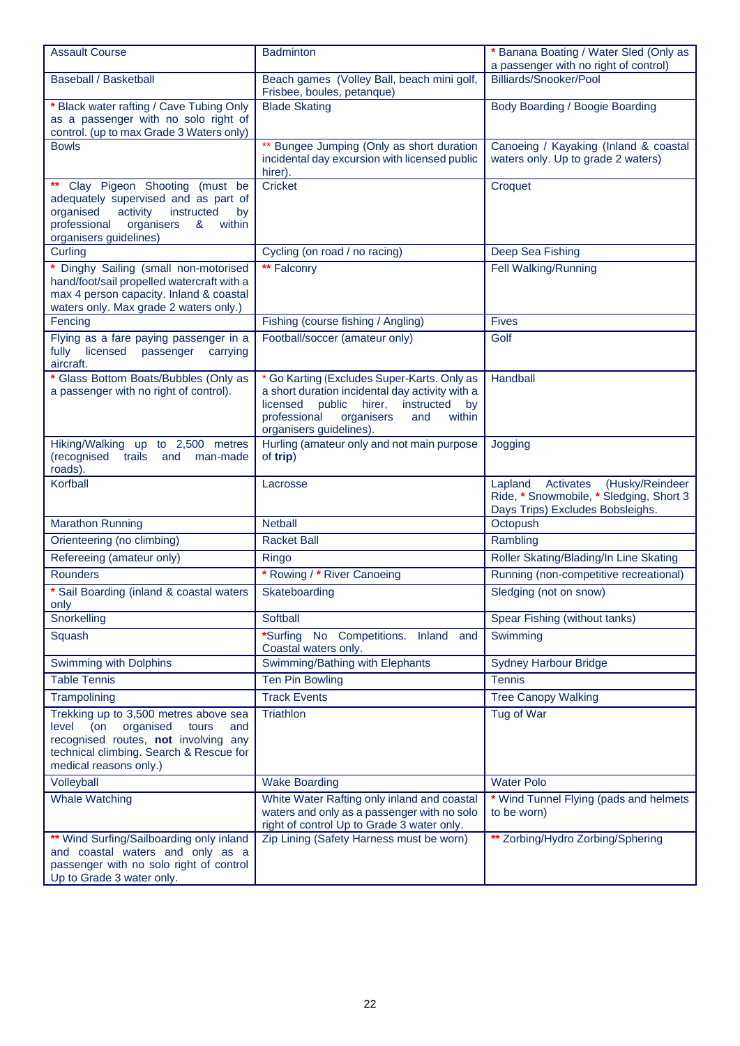| <b>Assault Course</b>                                                                                                                                                                           | <b>Badminton</b>                                                                                                                                                                                                             | * Banana Boating / Water Sled (Only as<br>a passenger with no right of control)                                        |
|-------------------------------------------------------------------------------------------------------------------------------------------------------------------------------------------------|------------------------------------------------------------------------------------------------------------------------------------------------------------------------------------------------------------------------------|------------------------------------------------------------------------------------------------------------------------|
| <b>Baseball / Basketball</b>                                                                                                                                                                    | Beach games (Volley Ball, beach mini golf,<br>Frisbee, boules, petanque)                                                                                                                                                     | Billiards/Snooker/Pool                                                                                                 |
| * Black water rafting / Cave Tubing Only<br>as a passenger with no solo right of<br>control. (up to max Grade 3 Waters only)                                                                    | <b>Blade Skating</b>                                                                                                                                                                                                         | Body Boarding / Boogie Boarding                                                                                        |
| <b>Bowls</b>                                                                                                                                                                                    | ** Bungee Jumping (Only as short duration<br>incidental day excursion with licensed public<br>hirer).                                                                                                                        | Canoeing / Kayaking (Inland & coastal<br>waters only. Up to grade 2 waters)                                            |
| Clay Pigeon Shooting (must be<br>adequately supervised and as part of<br>organised<br>activity<br>instructed<br>by<br>professional<br>organisers<br>&<br>within<br>organisers guidelines)       | <b>Cricket</b>                                                                                                                                                                                                               | Croquet                                                                                                                |
| Curling                                                                                                                                                                                         | Cycling (on road / no racing)                                                                                                                                                                                                | Deep Sea Fishing                                                                                                       |
| Dinghy Sailing (small non-motorised<br>hand/foot/sail propelled watercraft with a<br>max 4 person capacity. Inland & coastal<br>waters only. Max grade 2 waters only.)                          | <b>** Falconry</b>                                                                                                                                                                                                           | Fell Walking/Running                                                                                                   |
| Fencing                                                                                                                                                                                         | Fishing (course fishing / Angling)                                                                                                                                                                                           | <b>Fives</b>                                                                                                           |
| Flying as a fare paying passenger in a<br>licensed<br>fully<br>passenger<br>carrying<br>aircraft.                                                                                               | Football/soccer (amateur only)                                                                                                                                                                                               | Golf                                                                                                                   |
| * Glass Bottom Boats/Bubbles (Only as<br>a passenger with no right of control).                                                                                                                 | * Go Karting (Excludes Super-Karts. Only as<br>a short duration incidental day activity with a<br>licensed<br>public<br>hirer,<br>instructed<br>by<br>professional<br>organisers<br>and<br>within<br>organisers guidelines). | Handball                                                                                                               |
| Hiking/Walking up to 2,500 metres<br>(recognised<br>trails<br>and<br>man-made<br>roads).                                                                                                        | Hurling (amateur only and not main purpose<br>of trip)                                                                                                                                                                       | Jogging                                                                                                                |
| Korfball                                                                                                                                                                                        | Lacrosse                                                                                                                                                                                                                     | (Husky/Reindeer<br>Activates<br>Lapland<br>Ride, * Snowmobile, * Sledging, Short 3<br>Days Trips) Excludes Bobsleighs. |
| <b>Marathon Running</b>                                                                                                                                                                         | <b>Netball</b>                                                                                                                                                                                                               | Octopush                                                                                                               |
| Orienteering (no climbing)                                                                                                                                                                      | <b>Racket Ball</b>                                                                                                                                                                                                           | Rambling                                                                                                               |
| Refereeing (amateur only)                                                                                                                                                                       | Ringo                                                                                                                                                                                                                        | Roller Skating/Blading/In Line Skating                                                                                 |
| <b>Rounders</b>                                                                                                                                                                                 | * Rowing / * River Canoeing                                                                                                                                                                                                  | Running (non-competitive recreational)                                                                                 |
| * Sail Boarding (inland & coastal waters<br>only                                                                                                                                                | Skateboarding                                                                                                                                                                                                                | Sledging (not on snow)                                                                                                 |
| Snorkelling                                                                                                                                                                                     | Softball                                                                                                                                                                                                                     | Spear Fishing (without tanks)                                                                                          |
| Squash                                                                                                                                                                                          | *Surfing No Competitions.<br>Inland<br>and<br>Coastal waters only.                                                                                                                                                           | Swimming                                                                                                               |
| Swimming with Dolphins                                                                                                                                                                          | Swimming/Bathing with Elephants                                                                                                                                                                                              | <b>Sydney Harbour Bridge</b>                                                                                           |
| <b>Table Tennis</b>                                                                                                                                                                             | <b>Ten Pin Bowling</b>                                                                                                                                                                                                       | <b>Tennis</b>                                                                                                          |
| Trampolining                                                                                                                                                                                    | <b>Track Events</b>                                                                                                                                                                                                          | <b>Tree Canopy Walking</b>                                                                                             |
| Trekking up to 3,500 metres above sea<br>level<br>(on<br>organised<br>tours<br>and<br>recognised routes, not involving any<br>technical climbing. Search & Rescue for<br>medical reasons only.) | Triathlon                                                                                                                                                                                                                    | Tug of War                                                                                                             |
| Volleyball                                                                                                                                                                                      | <b>Wake Boarding</b>                                                                                                                                                                                                         | <b>Water Polo</b>                                                                                                      |
| <b>Whale Watching</b>                                                                                                                                                                           | White Water Rafting only inland and coastal<br>waters and only as a passenger with no solo<br>right of control Up to Grade 3 water only.                                                                                     | * Wind Tunnel Flying (pads and helmets<br>to be worn)                                                                  |
| ** Wind Surfing/Sailboarding only inland<br>and coastal waters and only as a<br>passenger with no solo right of control<br>Up to Grade 3 water only.                                            | Zip Lining (Safety Harness must be worn)                                                                                                                                                                                     | ** Zorbing/Hydro Zorbing/Sphering                                                                                      |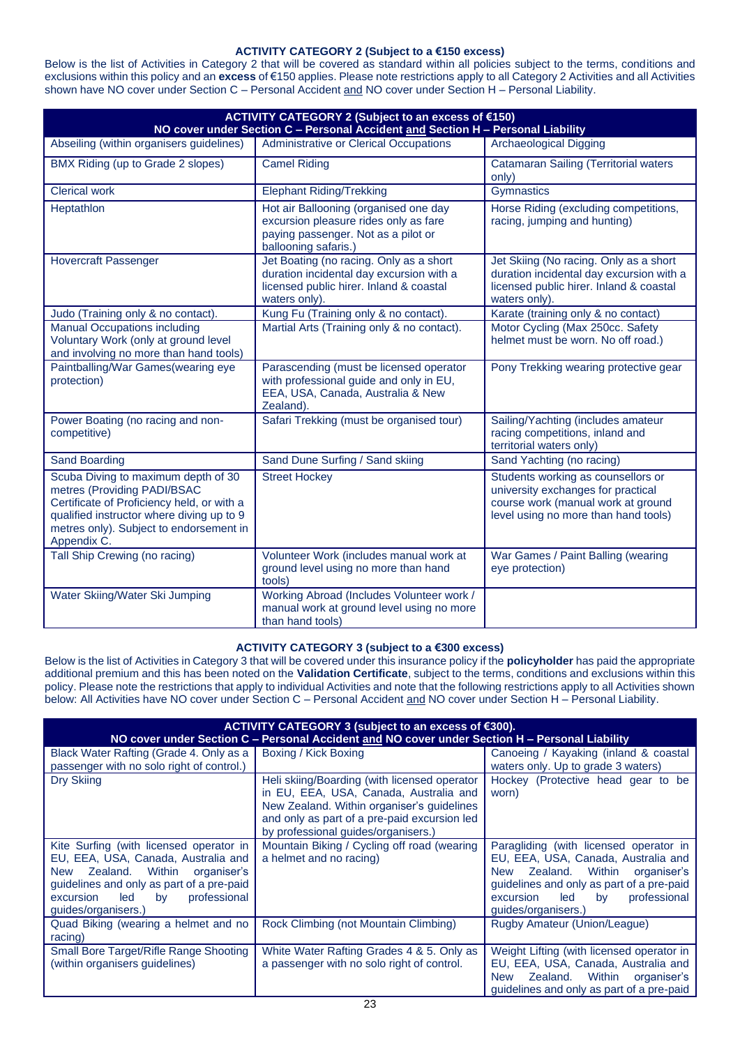# **ACTIVITY CATEGORY 2 (Subject to a €150 excess)**

Below is the list of Activities in Category 2 that will be covered as standard within all policies subject to the terms, conditions and exclusions within this policy and an **excess** of €150 applies. Please note restrictions apply to all Category 2 Activities and all Activities shown have NO cover under Section C – Personal Accident and NO cover under Section H – Personal Liability.

| ACTIVITY CATEGORY 2 (Subject to an excess of €150)<br>NO cover under Section C - Personal Accident and Section H - Personal Liability                                                                                   |                                                                                                                                                 |                                                                                                                                                        |  |  |
|-------------------------------------------------------------------------------------------------------------------------------------------------------------------------------------------------------------------------|-------------------------------------------------------------------------------------------------------------------------------------------------|--------------------------------------------------------------------------------------------------------------------------------------------------------|--|--|
| Abseiling (within organisers guidelines)                                                                                                                                                                                | Administrative or Clerical Occupations                                                                                                          | <b>Archaeological Digging</b>                                                                                                                          |  |  |
| BMX Riding (up to Grade 2 slopes)                                                                                                                                                                                       | <b>Camel Riding</b>                                                                                                                             | <b>Catamaran Sailing (Territorial waters</b><br>only)                                                                                                  |  |  |
| <b>Clerical work</b>                                                                                                                                                                                                    | <b>Elephant Riding/Trekking</b>                                                                                                                 | Gymnastics                                                                                                                                             |  |  |
| Heptathlon                                                                                                                                                                                                              | Hot air Ballooning (organised one day<br>excursion pleasure rides only as fare<br>paying passenger. Not as a pilot or<br>ballooning safaris.)   | Horse Riding (excluding competitions,<br>racing, jumping and hunting)                                                                                  |  |  |
| <b>Hovercraft Passenger</b>                                                                                                                                                                                             | Jet Boating (no racing. Only as a short<br>duration incidental day excursion with a<br>licensed public hirer. Inland & coastal<br>waters only). | Jet Skiing (No racing. Only as a short<br>duration incidental day excursion with a<br>licensed public hirer. Inland & coastal<br>waters only).         |  |  |
| Judo (Training only & no contact).                                                                                                                                                                                      | Kung Fu (Training only & no contact).                                                                                                           | Karate (training only & no contact)                                                                                                                    |  |  |
| <b>Manual Occupations including</b><br>Voluntary Work (only at ground level<br>and involving no more than hand tools)                                                                                                   | Martial Arts (Training only & no contact).                                                                                                      | Motor Cycling (Max 250cc. Safety<br>helmet must be worn. No off road.)                                                                                 |  |  |
| Paintballing/War Games(wearing eye<br>protection)                                                                                                                                                                       | Parascending (must be licensed operator<br>with professional guide and only in EU,<br>EEA, USA, Canada, Australia & New<br>Zealand).            | Pony Trekking wearing protective gear                                                                                                                  |  |  |
| Power Boating (no racing and non-<br>competitive)                                                                                                                                                                       | Safari Trekking (must be organised tour)                                                                                                        | Sailing/Yachting (includes amateur<br>racing competitions, inland and<br>territorial waters only)                                                      |  |  |
| <b>Sand Boarding</b>                                                                                                                                                                                                    | Sand Dune Surfing / Sand skiing                                                                                                                 | Sand Yachting (no racing)                                                                                                                              |  |  |
| Scuba Diving to maximum depth of 30<br>metres (Providing PADI/BSAC<br>Certificate of Proficiency held, or with a<br>qualified instructor where diving up to 9<br>metres only). Subject to endorsement in<br>Appendix C. | <b>Street Hockey</b>                                                                                                                            | Students working as counsellors or<br>university exchanges for practical<br>course work (manual work at ground<br>level using no more than hand tools) |  |  |
| Tall Ship Crewing (no racing)                                                                                                                                                                                           | Volunteer Work (includes manual work at<br>ground level using no more than hand<br>tools)                                                       | War Games / Paint Balling (wearing<br>eye protection)                                                                                                  |  |  |
| Water Skiing/Water Ski Jumping                                                                                                                                                                                          | Working Abroad (Includes Volunteer work /<br>manual work at ground level using no more<br>than hand tools)                                      |                                                                                                                                                        |  |  |

# **ACTIVITY CATEGORY 3 (subject to a €300 excess)**

Below is the list of Activities in Category 3 that will be covered under this insurance policy if the **policyholder** has paid the appropriate additional premium and this has been noted on the **Validation Certificate**, subject to the terms, conditions and exclusions within this policy. Please note the restrictions that apply to individual Activities and note that the following restrictions apply to all Activities shown below: All Activities have NO cover under Section C – Personal Accident and NO cover under Section H – Personal Liability.

| ACTIVITY CATEGORY 3 (subject to an excess of €300).<br>NO cover under Section C - Personal Accident and NO cover under Section H - Personal Liability                                                                                 |                                                                                                                                                                                                                             |                                                                                                                                                                                                                                             |  |
|---------------------------------------------------------------------------------------------------------------------------------------------------------------------------------------------------------------------------------------|-----------------------------------------------------------------------------------------------------------------------------------------------------------------------------------------------------------------------------|---------------------------------------------------------------------------------------------------------------------------------------------------------------------------------------------------------------------------------------------|--|
| Black Water Rafting (Grade 4. Only as a<br>passenger with no solo right of control.)                                                                                                                                                  | Boxing / Kick Boxing                                                                                                                                                                                                        | Canoeing / Kayaking (inland & coastal<br>waters only. Up to grade 3 waters)                                                                                                                                                                 |  |
| Dry Skiing                                                                                                                                                                                                                            | Heli skiing/Boarding (with licensed operator<br>in EU, EEA, USA, Canada, Australia and<br>New Zealand. Within organiser's guidelines<br>and only as part of a pre-paid excursion led<br>by professional guides/organisers.) | Hockey (Protective head gear to be<br>worn)                                                                                                                                                                                                 |  |
| Kite Surfing (with licensed operator in<br>EU, EEA, USA, Canada, Australia and<br>Zealand.<br>Within<br>organiser's<br>New<br>guidelines and only as part of a pre-paid<br>professional<br>excursion led<br>by<br>guides/organisers.) | Mountain Biking / Cycling off road (wearing<br>a helmet and no racing)                                                                                                                                                      | Paragliding (with licensed operator in<br>EU, EEA, USA, Canada, Australia and<br>Within<br>Zealand.<br>organiser's<br><b>New</b><br>guidelines and only as part of a pre-paid<br>excursion led<br>professional<br>by<br>guides/organisers.) |  |
| Quad Biking (wearing a helmet and no<br>racing)                                                                                                                                                                                       | Rock Climbing (not Mountain Climbing)                                                                                                                                                                                       | Rugby Amateur (Union/League)                                                                                                                                                                                                                |  |
| Small Bore Target/Rifle Range Shooting<br>(within organisers guidelines)                                                                                                                                                              | White Water Rafting Grades 4 & 5. Only as<br>a passenger with no solo right of control.                                                                                                                                     | Weight Lifting (with licensed operator in<br>EU, EEA, USA, Canada, Australia and<br>Within<br>Zealand.<br>organiser's<br><b>New</b><br>guidelines and only as part of a pre-paid                                                            |  |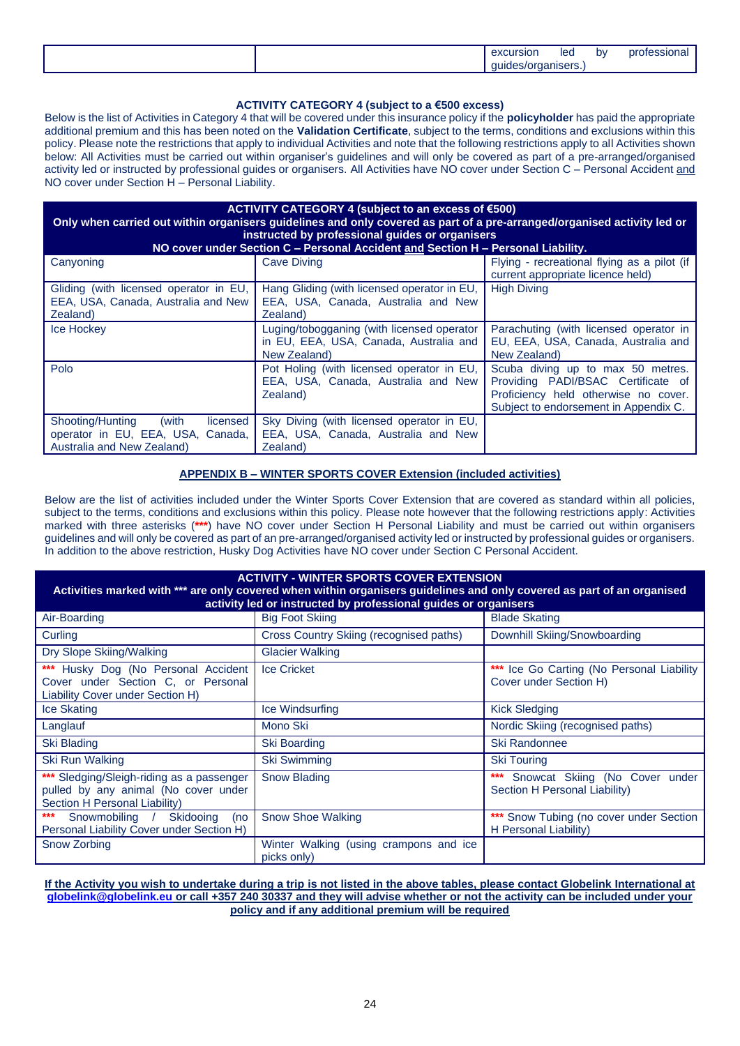|  | excursion | <b>lec</b> | bv | protessio<br>ч юн |
|--|-----------|------------|----|-------------------|
|  | .         | - -<br>.   |    |                   |

# **ACTIVITY CATEGORY 4 (subject to a €500 excess)**

Below is the list of Activities in Category 4 that will be covered under this insurance policy if the **policyholder** has paid the appropriate additional premium and this has been noted on the **Validation Certificate**, subject to the terms, conditions and exclusions within this policy. Please note the restrictions that apply to individual Activities and note that the following restrictions apply to all Activities shown below: All Activities must be carried out within organiser's guidelines and will only be covered as part of a pre-arranged/organised activity led or instructed by professional guides or organisers. All Activities have NO cover under Section C – Personal Accident and NO cover under Section H – Personal Liability.

| ACTIVITY CATEGORY 4 (subject to an excess of $€500$ )<br>Only when carried out within organisers guidelines and only covered as part of a pre-arranged/organised activity led or<br>instructed by professional guides or organisers<br>NO cover under Section C - Personal Accident and Section H - Personal Liability. |                                                                                                      |                                                                                                                                                          |  |  |
|-------------------------------------------------------------------------------------------------------------------------------------------------------------------------------------------------------------------------------------------------------------------------------------------------------------------------|------------------------------------------------------------------------------------------------------|----------------------------------------------------------------------------------------------------------------------------------------------------------|--|--|
| Canyoning                                                                                                                                                                                                                                                                                                               | <b>Cave Diving</b>                                                                                   | Flying - recreational flying as a pilot (if<br>current appropriate licence held)                                                                         |  |  |
| Gliding (with licensed operator in EU,<br>EEA, USA, Canada, Australia and New<br>Zealand)                                                                                                                                                                                                                               | Hang Gliding (with licensed operator in EU,<br>EEA, USA, Canada, Australia and New<br>Zealand)       | <b>High Diving</b>                                                                                                                                       |  |  |
| Ice Hockey                                                                                                                                                                                                                                                                                                              | Luging/tobogganing (with licensed operator<br>in EU, EEA, USA, Canada, Australia and<br>New Zealand) | Parachuting (with licensed operator in<br>EU, EEA, USA, Canada, Australia and<br>New Zealand)                                                            |  |  |
| Polo                                                                                                                                                                                                                                                                                                                    | Pot Holing (with licensed operator in EU,<br>EEA, USA, Canada, Australia and New<br>Zealand)         | Scuba diving up to max 50 metres.<br>Providing PADI/BSAC Certificate of<br>Proficiency held otherwise no cover.<br>Subject to endorsement in Appendix C. |  |  |
| Shooting/Hunting (with<br>licensed<br>operator in EU, EEA, USA, Canada,<br>Australia and New Zealand)                                                                                                                                                                                                                   | Sky Diving (with licensed operator in EU,<br>EEA, USA, Canada, Australia and New<br>Zealand)         |                                                                                                                                                          |  |  |

# **APPENDIX B – WINTER SPORTS COVER Extension (included activities)**

Below are the list of activities included under the Winter Sports Cover Extension that are covered as standard within all policies, subject to the terms, conditions and exclusions within this policy. Please note however that the following restrictions apply: Activities marked with three asterisks (**\*\*\***) have NO cover under Section H Personal Liability and must be carried out within organisers guidelines and will only be covered as part of an pre-arranged/organised activity led or instructed by professional guides or organisers. In addition to the above restriction, Husky Dog Activities have NO cover under Section C Personal Accident.

| <b>ACTIVITY - WINTER SPORTS COVER EXTENSION</b><br>Activities marked with *** are only covered when within organisers guidelines and only covered as part of an organised<br>activity led or instructed by professional guides or organisers |                                                       |                                                                     |
|----------------------------------------------------------------------------------------------------------------------------------------------------------------------------------------------------------------------------------------------|-------------------------------------------------------|---------------------------------------------------------------------|
| Air-Boarding                                                                                                                                                                                                                                 | <b>Big Foot Skiing</b>                                | <b>Blade Skating</b>                                                |
| Curling                                                                                                                                                                                                                                      | Cross Country Skiing (recognised paths)               | Downhill Skiing/Snowboarding                                        |
| Dry Slope Skiing/Walking                                                                                                                                                                                                                     | <b>Glacier Walking</b>                                |                                                                     |
| *** Husky Dog (No Personal Accident<br>Cover under Section C, or Personal<br>Liability Cover under Section H)                                                                                                                                | <b>Ice Cricket</b>                                    | *** Ice Go Carting (No Personal Liability<br>Cover under Section H) |
| Ice Skating                                                                                                                                                                                                                                  | Ice Windsurfing                                       | <b>Kick Sledging</b>                                                |
| Langlauf                                                                                                                                                                                                                                     | Mono Ski                                              | Nordic Skiing (recognised paths)                                    |
| Ski Blading                                                                                                                                                                                                                                  | Ski Boarding                                          | <b>Ski Randonnee</b>                                                |
| Ski Run Walking                                                                                                                                                                                                                              | <b>Ski Swimming</b>                                   | <b>Ski Touring</b>                                                  |
| *** Sledging/Sleigh-riding as a passenger<br>pulled by any animal (No cover under<br>Section H Personal Liability)                                                                                                                           | Snow Blading                                          | *** Snowcat Skiing (No Cover under<br>Section H Personal Liability) |
| ***<br>Skidooing<br>Snowmobiling /<br>(no<br>Personal Liability Cover under Section H)                                                                                                                                                       | <b>Snow Shoe Walking</b>                              | *** Snow Tubing (no cover under Section<br>H Personal Liability)    |
| <b>Snow Zorbing</b>                                                                                                                                                                                                                          | Winter Walking (using crampons and ice<br>picks only) |                                                                     |

**If the Activity you wish to undertake during a trip is not listed in the above tables, please contact Globelink International at [globelink@globelink.eu](mailto:globelink@globelink.eu) or call +357 240 30337 and they will advise whether or not the activity can be included under your policy and if any additional premium will be required**